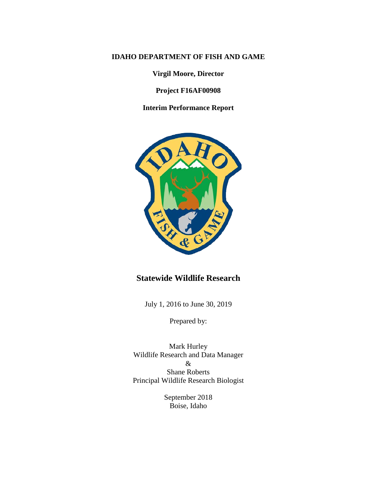### **IDAHO DEPARTMENT OF FISH AND GAME**

**Virgil Moore, Director**

**Project F16AF00908**

**Interim Performance Report**



## **Statewide Wildlife Research**

July 1, 2016 to June 30, 2019

Prepared by:

Mark Hurley Wildlife Research and Data Manager & Shane Roberts Principal Wildlife Research Biologist

> September 2018 Boise, Idaho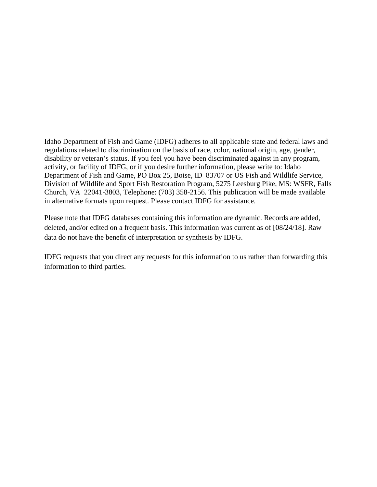Idaho Department of Fish and Game (IDFG) adheres to all applicable state and federal laws and regulations related to discrimination on the basis of race, color, national origin, age, gender, disability or veteran's status. If you feel you have been discriminated against in any program, activity, or facility of IDFG, or if you desire further information, please write to: Idaho Department of Fish and Game, PO Box 25, Boise, ID 83707 or US Fish and Wildlife Service, Division of Wildlife and Sport Fish Restoration Program, 5275 Leesburg Pike, MS: WSFR, Falls Church, VA 22041-3803, Telephone: (703) 358-2156. This publication will be made available in alternative formats upon request. Please contact IDFG for assistance.

Please note that IDFG databases containing this information are dynamic. Records are added, deleted, and/or edited on a frequent basis. This information was current as of [08/24/18]. Raw data do not have the benefit of interpretation or synthesis by IDFG.

IDFG requests that you direct any requests for this information to us rather than forwarding this information to third parties.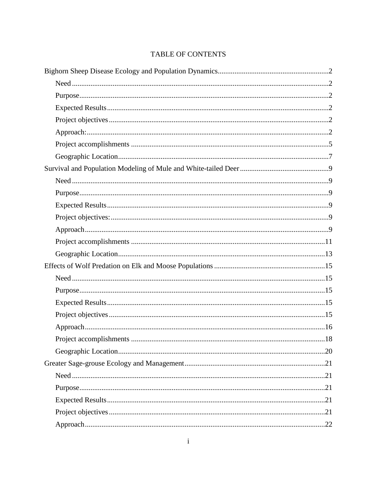## **TABLE OF CONTENTS**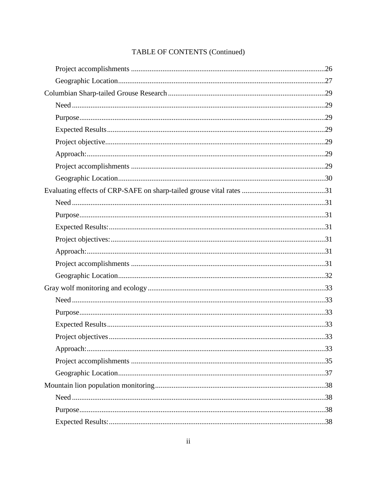| Project objectives. | .33 |
|---------------------|-----|
|                     |     |
|                     |     |
|                     |     |
|                     |     |
|                     |     |
|                     |     |
|                     |     |

## TABLE OF CONTENTS (Continued)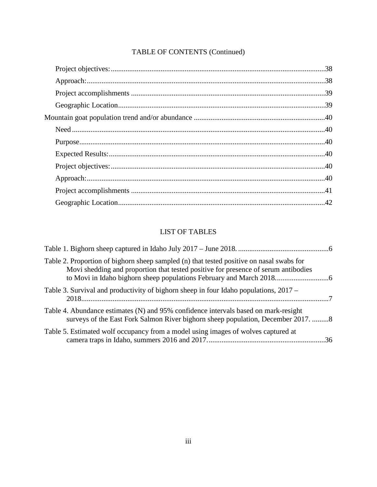## TABLE OF CONTENTS (Continued)

## LIST OF TABLES

| Table 2. Proportion of bighorn sheep sampled (n) that tested positive on nasal swabs for<br>Movi shedding and proportion that tested positive for presence of serum antibodies |  |
|--------------------------------------------------------------------------------------------------------------------------------------------------------------------------------|--|
| Table 3. Survival and productivity of bighorn sheep in four Idaho populations, 2017 –                                                                                          |  |
| Table 4. Abundance estimates (N) and 95% confidence intervals based on mark-resight<br>surveys of the East Fork Salmon River bighorn sheep population, December 2017. 8        |  |
| Table 5. Estimated wolf occupancy from a model using images of wolves captured at                                                                                              |  |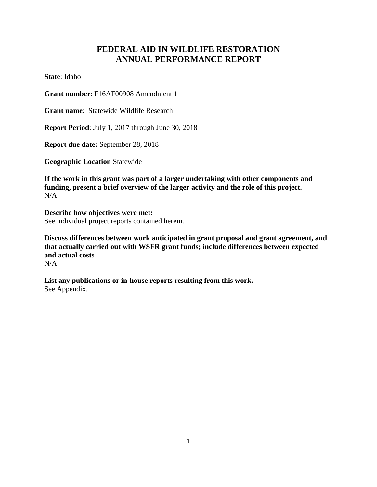## **FEDERAL AID IN WILDLIFE RESTORATION ANNUAL PERFORMANCE REPORT**

**State**: Idaho

**Grant number**: F16AF00908 Amendment 1

**Grant name**: Statewide Wildlife Research

**Report Period**: July 1, 2017 through June 30, 2018

**Report due date:** September 28, 2018

**Geographic Location** Statewide

**If the work in this grant was part of a larger undertaking with other components and funding, present a brief overview of the larger activity and the role of this project.**  $N/A$ 

**Describe how objectives were met:** See individual project reports contained herein.

**Discuss differences between work anticipated in grant proposal and grant agreement, and that actually carried out with WSFR grant funds; include differences between expected and actual costs**

 $N/A$ 

**List any publications or in-house reports resulting from this work.** See Appendix.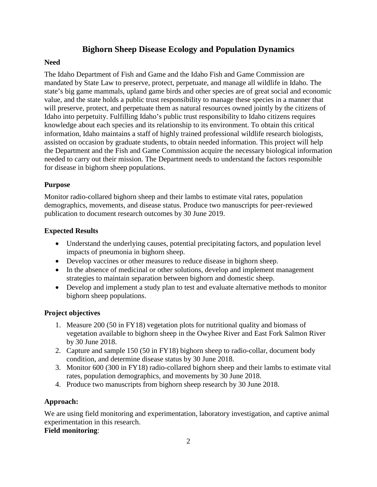## **Bighorn Sheep Disease Ecology and Population Dynamics**

## <span id="page-6-1"></span><span id="page-6-0"></span>**Need**

The Idaho Department of Fish and Game and the Idaho Fish and Game Commission are mandated by State Law to preserve, protect, perpetuate, and manage all wildlife in Idaho. The state's big game mammals, upland game birds and other species are of great social and economic value, and the state holds a public trust responsibility to manage these species in a manner that will preserve, protect, and perpetuate them as natural resources owned jointly by the citizens of Idaho into perpetuity. Fulfilling Idaho's public trust responsibility to Idaho citizens requires knowledge about each species and its relationship to its environment. To obtain this critical information, Idaho maintains a staff of highly trained professional wildlife research biologists, assisted on occasion by graduate students, to obtain needed information. This project will help the Department and the Fish and Game Commission acquire the necessary biological information needed to carry out their mission. The Department needs to understand the factors responsible for disease in bighorn sheep populations.

## <span id="page-6-2"></span>**Purpose**

Monitor radio-collared bighorn sheep and their lambs to estimate vital rates, population demographics, movements, and disease status. Produce two manuscripts for peer-reviewed publication to document research outcomes by 30 June 2019.

## <span id="page-6-3"></span>**Expected Results**

- Understand the underlying causes, potential precipitating factors, and population level impacts of pneumonia in bighorn sheep.
- Develop vaccines or other measures to reduce disease in bighorn sheep.
- In the absence of medicinal or other solutions, develop and implement management strategies to maintain separation between bighorn and domestic sheep.
- Develop and implement a study plan to test and evaluate alternative methods to monitor bighorn sheep populations.

## <span id="page-6-4"></span>**Project objectives**

- 1. Measure 200 (50 in FY18) vegetation plots for nutritional quality and biomass of vegetation available to bighorn sheep in the Owyhee River and East Fork Salmon River by 30 June 2018.
- 2. Capture and sample 150 (50 in FY18) bighorn sheep to radio-collar, document body condition, and determine disease status by 30 June 2018.
- 3. Monitor 600 (300 in FY18) radio-collared bighorn sheep and their lambs to estimate vital rates, population demographics, and movements by 30 June 2018.
- 4. Produce two manuscripts from bighorn sheep research by 30 June 2018.

## <span id="page-6-5"></span>**Approach:**

We are using field monitoring and experimentation, laboratory investigation, and captive animal experimentation in this research.

## **Field monitoring**: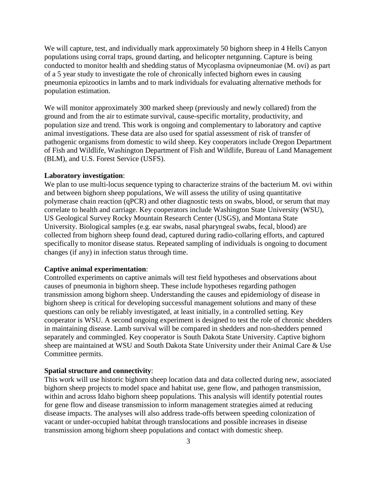We will capture, test, and individually mark approximately 50 bighorn sheep in 4 Hells Canyon populations using corral traps, ground darting, and helicopter netgunning. Capture is being conducted to monitor health and shedding status of Mycoplasma ovipneumoniae (M. ovi) as part of a 5 year study to investigate the role of chronically infected bighorn ewes in causing pneumonia epizootics in lambs and to mark individuals for evaluating alternative methods for population estimation.

We will monitor approximately 300 marked sheep (previously and newly collared) from the ground and from the air to estimate survival, cause-specific mortality, productivity, and population size and trend. This work is ongoing and complementary to laboratory and captive animal investigations. These data are also used for spatial assessment of risk of transfer of pathogenic organisms from domestic to wild sheep. Key cooperators include Oregon Department of Fish and Wildlife, Washington Department of Fish and Wildlife, Bureau of Land Management (BLM), and U.S. Forest Service (USFS).

#### **Laboratory investigation**:

We plan to use multi-locus sequence typing to characterize strains of the bacterium M. ovi within and between bighorn sheep populations, We will assess the utility of using quantitative polymerase chain reaction (qPCR) and other diagnostic tests on swabs, blood, or serum that may correlate to health and carriage. Key cooperators include Washington State University (WSU), US Geological Survey Rocky Mountain Research Center (USGS), and Montana State University. Biological samples (e.g. ear swabs, nasal pharyngeal swabs, fecal, blood) are collected from bighorn sheep found dead, captured during radio-collaring efforts, and captured specifically to monitor disease status. Repeated sampling of individuals is ongoing to document changes (if any) in infection status through time.

#### **Captive animal experimentation**:

Controlled experiments on captive animals will test field hypotheses and observations about causes of pneumonia in bighorn sheep. These include hypotheses regarding pathogen transmission among bighorn sheep. Understanding the causes and epidemiology of disease in bighorn sheep is critical for developing successful management solutions and many of these questions can only be reliably investigated, at least initially, in a controlled setting. Key cooperator is WSU. A second ongoing experiment is designed to test the role of chronic shedders in maintaining disease. Lamb survival will be compared in shedders and non-shedders penned separately and commingled. Key cooperator is South Dakota State University. Captive bighorn sheep are maintained at WSU and South Dakota State University under their Animal Care & Use Committee permits.

#### **Spatial structure and connectivity**:

This work will use historic bighorn sheep location data and data collected during new, associated bighorn sheep projects to model space and habitat use, gene flow, and pathogen transmission, within and across Idaho bighorn sheep populations. This analysis will identify potential routes for gene flow and disease transmission to inform management strategies aimed at reducing disease impacts. The analyses will also address trade-offs between speeding colonization of vacant or under-occupied habitat through translocations and possible increases in disease transmission among bighorn sheep populations and contact with domestic sheep.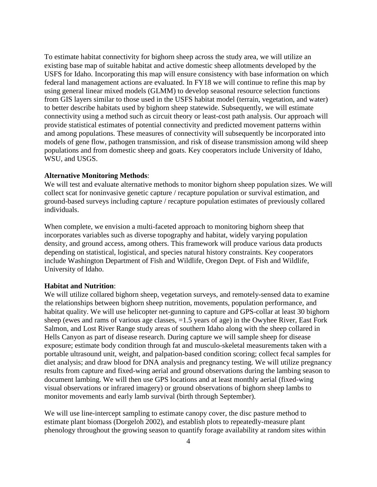To estimate habitat connectivity for bighorn sheep across the study area, we will utilize an existing base map of suitable habitat and active domestic sheep allotments developed by the USFS for Idaho. Incorporating this map will ensure consistency with base information on which federal land management actions are evaluated. In FY18 we will continue to refine this map by using general linear mixed models (GLMM) to develop seasonal resource selection functions from GIS layers similar to those used in the USFS habitat model (terrain, vegetation, and water) to better describe habitats used by bighorn sheep statewide. Subsequently, we will estimate connectivity using a method such as circuit theory or least-cost path analysis. Our approach will provide statistical estimates of potential connectivity and predicted movement patterns within and among populations. These measures of connectivity will subsequently be incorporated into models of gene flow, pathogen transmission, and risk of disease transmission among wild sheep populations and from domestic sheep and goats. Key cooperators include University of Idaho, WSU, and USGS.

#### **Alternative Monitoring Methods**:

We will test and evaluate alternative methods to monitor bighorn sheep population sizes. We will collect scat for noninvasive genetic capture / recapture population or survival estimation, and ground-based surveys including capture / recapture population estimates of previously collared individuals.

When complete, we envision a multi-faceted approach to monitoring bighorn sheep that incorporates variables such as diverse topography and habitat, widely varying population density, and ground access, among others. This framework will produce various data products depending on statistical, logistical, and species natural history constraints. Key cooperators include Washington Department of Fish and Wildlife, Oregon Dept. of Fish and Wildlife, University of Idaho.

#### **Habitat and Nutrition**:

We will utilize collared bighorn sheep, vegetation surveys, and remotely-sensed data to examine the relationships between bighorn sheep nutrition, movements, population performance, and habitat quality. We will use helicopter net-gunning to capture and GPS-collar at least 30 bighorn sheep (ewes and rams of various age classes, =1.5 years of age) in the Owyhee River, East Fork Salmon, and Lost River Range study areas of southern Idaho along with the sheep collared in Hells Canyon as part of disease research. During capture we will sample sheep for disease exposure; estimate body condition through fat and musculo-skeletal measurements taken with a portable ultrasound unit, weight, and palpation-based condition scoring; collect fecal samples for diet analysis; and draw blood for DNA analysis and pregnancy testing. We will utilize pregnancy results from capture and fixed-wing aerial and ground observations during the lambing season to document lambing. We will then use GPS locations and at least monthly aerial (fixed-wing visual observations or infrared imagery) or ground observations of bighorn sheep lambs to monitor movements and early lamb survival (birth through September).

We will use line-intercept sampling to estimate canopy cover, the disc pasture method to estimate plant biomass (Dorgeloh 2002), and establish plots to repeatedly-measure plant phenology throughout the growing season to quantify forage availability at random sites within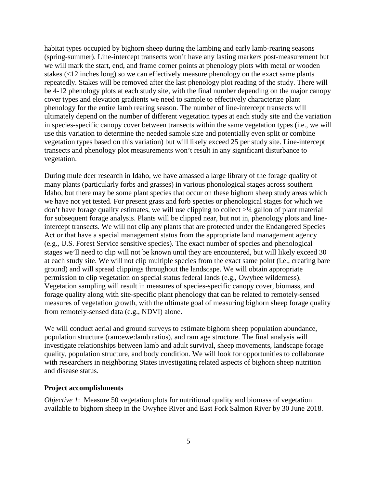habitat types occupied by bighorn sheep during the lambing and early lamb-rearing seasons (spring-summer). Line-intercept transects won't have any lasting markers post-measurement but we will mark the start, end, and frame corner points at phenology plots with metal or wooden stakes (<12 inches long) so we can effectively measure phenology on the exact same plants repeatedly. Stakes will be removed after the last phenology plot reading of the study. There will be 4-12 phenology plots at each study site, with the final number depending on the major canopy cover types and elevation gradients we need to sample to effectively characterize plant phenology for the entire lamb rearing season. The number of line-intercept transects will ultimately depend on the number of different vegetation types at each study site and the variation in species-specific canopy cover between transects within the same vegetation types (i.e., we will use this variation to determine the needed sample size and potentially even split or combine vegetation types based on this variation) but will likely exceed 25 per study site. Line-intercept transects and phenology plot measurements won't result in any significant disturbance to vegetation.

During mule deer research in Idaho, we have amassed a large library of the forage quality of many plants (particularly forbs and grasses) in various phonological stages across southern Idaho, but there may be some plant species that occur on these bighorn sheep study areas which we have not yet tested. For present grass and forb species or phenological stages for which we don't have forage quality estimates, we will use clipping to collect  $>1/4$  gallon of plant material for subsequent forage analysis. Plants will be clipped near, but not in, phenology plots and lineintercept transects. We will not clip any plants that are protected under the Endangered Species Act or that have a special management status from the appropriate land management agency (e.g., U.S. Forest Service sensitive species). The exact number of species and phenological stages we'll need to clip will not be known until they are encountered, but will likely exceed 30 at each study site. We will not clip multiple species from the exact same point (i.e., creating bare ground) and will spread clippings throughout the landscape. We will obtain appropriate permission to clip vegetation on special status federal lands (e.g., Owyhee wilderness). Vegetation sampling will result in measures of species-specific canopy cover, biomass, and forage quality along with site-specific plant phenology that can be related to remotely-sensed measures of vegetation growth, with the ultimate goal of measuring bighorn sheep forage quality from remotely-sensed data (e.g., NDVI) alone.

We will conduct aerial and ground surveys to estimate bighorn sheep population abundance, population structure (ram:ewe:lamb ratios), and ram age structure. The final analysis will investigate relationships between lamb and adult survival, sheep movements, landscape forage quality, population structure, and body condition. We will look for opportunities to collaborate with researchers in neighboring States investigating related aspects of bighorn sheep nutrition and disease status.

#### <span id="page-9-0"></span>**Project accomplishments**

*Objective 1*: Measure 50 vegetation plots for nutritional quality and biomass of vegetation available to bighorn sheep in the Owyhee River and East Fork Salmon River by 30 June 2018.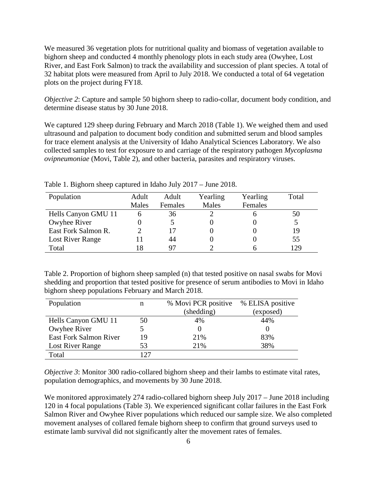We measured 36 vegetation plots for nutritional quality and biomass of vegetation available to bighorn sheep and conducted 4 monthly phenology plots in each study area (Owyhee, Lost River, and East Fork Salmon) to track the availability and succession of plant species. A total of 32 habitat plots were measured from April to July 2018. We conducted a total of 64 vegetation plots on the project during FY18.

*Objective 2*: Capture and sample 50 bighorn sheep to radio-collar, document body condition, and determine disease status by 30 June 2018.

We captured 129 sheep during February and March 2018 (Table 1). We weighed them and used ultrasound and palpation to document body condition and submitted serum and blood samples for trace element analysis at the University of Idaho Analytical Sciences Laboratory. We also collected samples to test for exposure to and carriage of the respiratory pathogen *Mycoplasma ovipneumoniae* (Movi, Table 2)*,* and other bacteria, parasites and respiratory viruses.

| Population          | Adult | Adult   | Yearling | Yearling | Total |
|---------------------|-------|---------|----------|----------|-------|
|                     | Males | Females | Males    | Females  |       |
| Hells Canyon GMU 11 |       | 36      |          |          | 50    |
| Owyhee River        |       |         |          |          |       |
| East Fork Salmon R. |       |         |          |          | 19    |
| Lost River Range    |       | 44      |          |          | 55    |
| Total               |       |         |          |          | 129   |

<span id="page-10-0"></span>Table 1. Bighorn sheep captured in Idaho July 2017 – June 2018.

<span id="page-10-1"></span>Table 2. Proportion of bighorn sheep sampled (n) that tested positive on nasal swabs for Movi shedding and proportion that tested positive for presence of serum antibodies to Movi in Idaho bighorn sheep populations February and March 2018.

| Population                    | n   | % Movi PCR positive | % ELISA positive |
|-------------------------------|-----|---------------------|------------------|
|                               |     | (shedding)          | (exposed)        |
| Hells Canyon GMU 11           | 50  | 4%                  | 44%              |
| Owyhee River                  |     |                     |                  |
| <b>East Fork Salmon River</b> | 19  | 21%                 | 83%              |
| Lost River Range              | 53  | 21%                 | 38%              |
| Total                         | 127 |                     |                  |

*Objective 3*: Monitor 300 radio-collared bighorn sheep and their lambs to estimate vital rates, population demographics, and movements by 30 June 2018.

We monitored approximately 274 radio-collared bighorn sheep July 2017 – June 2018 including 120 in 4 focal populations (Table 3). We experienced significant collar failures in the East Fork Salmon River and Owyhee River populations which reduced our sample size. We also completed movement analyses of collared female bighorn sheep to confirm that ground surveys used to estimate lamb survival did not significantly alter the movement rates of females.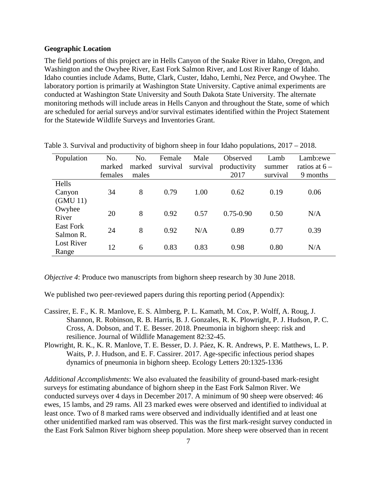#### <span id="page-11-0"></span>**Geographic Location**

The field portions of this project are in Hells Canyon of the Snake River in Idaho, Oregon, and Washington and the Owyhee River, East Fork Salmon River, and Lost River Range of Idaho. Idaho counties include Adams, Butte, Clark, Custer, Idaho, Lemhi, Nez Perce, and Owyhee. The laboratory portion is primarily at Washington State University. Captive animal experiments are conducted at Washington State University and South Dakota State University. The alternate monitoring methods will include areas in Hells Canyon and throughout the State, some of which are scheduled for aerial surveys and/or survival estimates identified within the Project Statement for the Statewide Wildlife Surveys and Inventories Grant.

| Population                    | No.<br>marked<br>females | No.<br>marked<br>males | Female<br>survival | Male<br>survival | Observed<br>productivity<br>2017 | Lamb<br>summer<br>survival | Lamb:ewe<br>ratios at $6-$<br>9 months |
|-------------------------------|--------------------------|------------------------|--------------------|------------------|----------------------------------|----------------------------|----------------------------------------|
| Hells<br>Canyon<br>(GMU 11)   | 34                       | 8                      | 0.79               | 1.00             | 0.62                             | 0.19                       | 0.06                                   |
| Owyhee<br>River               | 20                       | 8                      | 0.92               | 0.57             | $0.75 - 0.90$                    | 0.50                       | N/A                                    |
| <b>East Fork</b><br>Salmon R. | 24                       | 8                      | 0.92               | N/A              | 0.89                             | 0.77                       | 0.39                                   |
| <b>Lost River</b><br>Range    | 12                       | 6                      | 0.83               | 0.83             | 0.98                             | 0.80                       | N/A                                    |

<span id="page-11-1"></span>Table 3. Survival and productivity of bighorn sheep in four Idaho populations, 2017 – 2018.

*Objective 4*: Produce two manuscripts from bighorn sheep research by 30 June 2018.

We published two peer-reviewed papers during this reporting period (Appendix):

- Cassirer, E. F., K. R. Manlove, E. S. Almberg, P. L. Kamath, M. Cox, P. Wolff, A. Roug, J. Shannon, R. Robinson, R. B. Harris, B. J. Gonzales, R. K. Plowright, P. J. Hudson, P. C. Cross, A. Dobson, and T. E. Besser. 2018. Pneumonia in bighorn sheep: risk and resilience. Journal of Wildlife Management 82:32-45.
- Plowright, R. K., K. R. Manlove, T. E. Besser, D. J. Páez, K. R. Andrews, P. E. Matthews, L. P. Waits, P. J. Hudson, and E. F. Cassirer. 2017. Age-specific infectious period shapes dynamics of pneumonia in bighorn sheep. Ecology Letters 20:1325-1336

*Additional Accomplishments*: We also evaluated the feasibility of ground-based mark-resight surveys for estimating abundance of bighorn sheep in the East Fork Salmon River. We conducted surveys over 4 days in December 2017. A minimum of 90 sheep were observed: 46 ewes, 15 lambs, and 29 rams. All 23 marked ewes were observed and identified to individual at least once. Two of 8 marked rams were observed and individually identified and at least one other unidentified marked ram was observed. This was the first mark-resight survey conducted in the East Fork Salmon River bighorn sheep population. More sheep were observed than in recent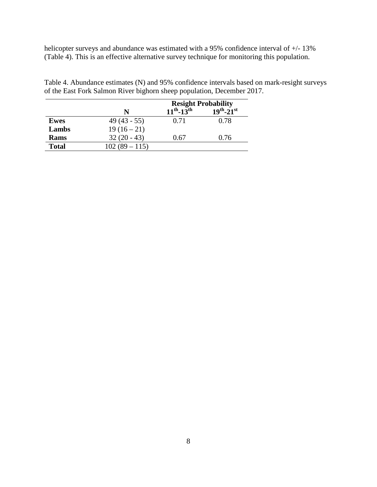helicopter surveys and abundance was estimated with a 95% confidence interval of  $+/$ -13% (Table 4). This is an effective alternative survey technique for monitoring this population.

|             |               | <b>Resight Probability</b> |                     |  |
|-------------|---------------|----------------------------|---------------------|--|
|             | N             | $11^{th} - 13^{th}$        | $19^{th} - 21^{st}$ |  |
| <b>Ewes</b> | $49(43 - 55)$ | 0.71                       | 0.78                |  |
| Lambs       | $19(16-21)$   |                            |                     |  |
| Rams        | $32(20 - 43)$ | 0.67                       | 0.76                |  |

**Total**  $102 (89 - 115)$ 

<span id="page-12-0"></span>Table 4. Abundance estimates (N) and 95% confidence intervals based on mark-resight surveys of the East Fork Salmon River bighorn sheep population, December 2017.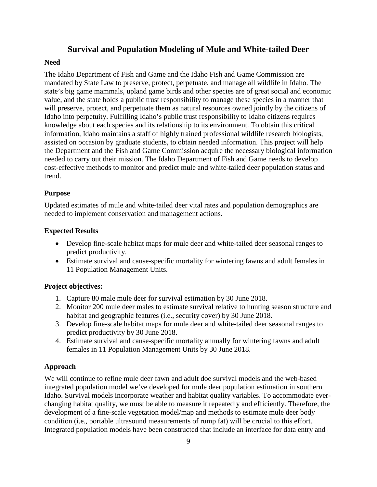## **Survival and Population Modeling of Mule and White-tailed Deer**

## <span id="page-13-1"></span><span id="page-13-0"></span>**Need**

The Idaho Department of Fish and Game and the Idaho Fish and Game Commission are mandated by State Law to preserve, protect, perpetuate, and manage all wildlife in Idaho. The state's big game mammals, upland game birds and other species are of great social and economic value, and the state holds a public trust responsibility to manage these species in a manner that will preserve, protect, and perpetuate them as natural resources owned jointly by the citizens of Idaho into perpetuity. Fulfilling Idaho's public trust responsibility to Idaho citizens requires knowledge about each species and its relationship to its environment. To obtain this critical information, Idaho maintains a staff of highly trained professional wildlife research biologists, assisted on occasion by graduate students, to obtain needed information. This project will help the Department and the Fish and Game Commission acquire the necessary biological information needed to carry out their mission. The Idaho Department of Fish and Game needs to develop cost-effective methods to monitor and predict mule and white-tailed deer population status and trend.

## <span id="page-13-2"></span>**Purpose**

Updated estimates of mule and white-tailed deer vital rates and population demographics are needed to implement conservation and management actions.

## <span id="page-13-3"></span>**Expected Results**

- Develop fine-scale habitat maps for mule deer and white-tailed deer seasonal ranges to predict productivity.
- Estimate survival and cause-specific mortality for wintering fawns and adult females in 11 Population Management Units.

## <span id="page-13-4"></span>**Project objectives:**

- 1. Capture 80 male mule deer for survival estimation by 30 June 2018.
- 2. Monitor 200 mule deer males to estimate survival relative to hunting season structure and habitat and geographic features (i.e., security cover) by 30 June 2018.
- 3. Develop fine-scale habitat maps for mule deer and white-tailed deer seasonal ranges to predict productivity by 30 June 2018.
- 4. Estimate survival and cause-specific mortality annually for wintering fawns and adult females in 11 Population Management Units by 30 June 2018.

## <span id="page-13-5"></span>**Approach**

We will continue to refine mule deer fawn and adult doe survival models and the web-based integrated population model we've developed for mule deer population estimation in southern Idaho. Survival models incorporate weather and habitat quality variables. To accommodate everchanging habitat quality, we must be able to measure it repeatedly and efficiently. Therefore, the development of a fine-scale vegetation model/map and methods to estimate mule deer body condition (i.e., portable ultrasound measurements of rump fat) will be crucial to this effort. Integrated population models have been constructed that include an interface for data entry and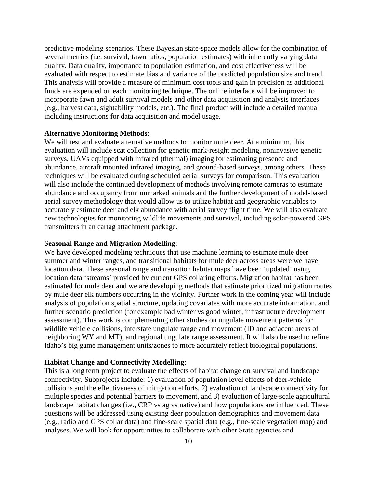predictive modeling scenarios. These Bayesian state-space models allow for the combination of several metrics (i.e. survival, fawn ratios, population estimates) with inherently varying data quality. Data quality, importance to population estimation, and cost effectiveness will be evaluated with respect to estimate bias and variance of the predicted population size and trend. This analysis will provide a measure of minimum cost tools and gain in precision as additional funds are expended on each monitoring technique. The online interface will be improved to incorporate fawn and adult survival models and other data acquisition and analysis interfaces (e.g., harvest data, sightability models, etc.). The final product will include a detailed manual including instructions for data acquisition and model usage.

#### **Alternative Monitoring Methods**:

We will test and evaluate alternative methods to monitor mule deer. At a minimum, this evaluation will include scat collection for genetic mark-resight modeling, noninvasive genetic surveys, UAVs equipped with infrared (thermal) imaging for estimating presence and abundance, aircraft mounted infrared imaging, and ground-based surveys, among others. These techniques will be evaluated during scheduled aerial surveys for comparison. This evaluation will also include the continued development of methods involving remote cameras to estimate abundance and occupancy from unmarked animals and the further development of model-based aerial survey methodology that would allow us to utilize habitat and geographic variables to accurately estimate deer and elk abundance with aerial survey flight time. We will also evaluate new technologies for monitoring wildlife movements and survival, including solar-powered GPS transmitters in an eartag attachment package.

#### S**easonal Range and Migration Modelling**:

We have developed modeling techniques that use machine learning to estimate mule deer summer and winter ranges, and transitional habitats for mule deer across areas were we have location data. These seasonal range and transition habitat maps have been 'updated' using location data 'streams' provided by current GPS collaring efforts. Migration habitat has been estimated for mule deer and we are developing methods that estimate prioritized migration routes by mule deer elk numbers occurring in the vicinity. Further work in the coming year will include analysis of population spatial structure, updating covariates with more accurate information, and further scenario prediction (for example bad winter vs good winter, infrastructure development assessment). This work is complementing other studies on ungulate movement patterns for wildlife vehicle collisions, interstate ungulate range and movement (ID and adjacent areas of neighboring WY and MT), and regional ungulate range assessment. It will also be used to refine Idaho's big game management units/zones to more accurately reflect biological populations.

#### **Habitat Change and Connectivity Modelling**:

This is a long term project to evaluate the effects of habitat change on survival and landscape connectivity. Subprojects include: 1) evaluation of population level effects of deer-vehicle collisions and the effectiveness of mitigation efforts, 2) evaluation of landscape connectivity for multiple species and potential barriers to movement, and 3) evaluation of large-scale agricultural landscape habitat changes (i.e., CRP vs ag vs native) and how populations are influenced. These questions will be addressed using existing deer population demographics and movement data (e.g., radio and GPS collar data) and fine-scale spatial data (e.g., fine-scale vegetation map) and analyses. We will look for opportunities to collaborate with other State agencies and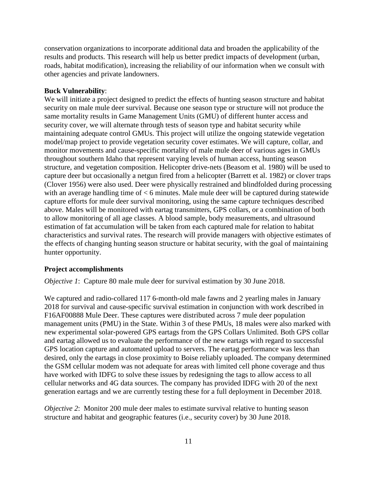conservation organizations to incorporate additional data and broaden the applicability of the results and products. This research will help us better predict impacts of development (urban, roads, habitat modification), increasing the reliability of our information when we consult with other agencies and private landowners.

#### **Buck Vulnerability**:

We will initiate a project designed to predict the effects of hunting season structure and habitat security on male mule deer survival. Because one season type or structure will not produce the same mortality results in Game Management Units (GMU) of different hunter access and security cover, we will alternate through tests of season type and habitat security while maintaining adequate control GMUs. This project will utilize the ongoing statewide vegetation model/map project to provide vegetation security cover estimates. We will capture, collar, and monitor movements and cause-specific mortality of male mule deer of various ages in GMUs throughout southern Idaho that represent varying levels of human access, hunting season structure, and vegetation composition. Helicopter drive-nets (Beasom et al. 1980) will be used to capture deer but occasionally a netgun fired from a helicopter (Barrett et al. 1982) or clover traps (Clover 1956) were also used. Deer were physically restrained and blindfolded during processing with an average handling time of < 6 minutes. Male mule deer will be captured during statewide capture efforts for mule deer survival monitoring, using the same capture techniques described above. Males will be monitored with eartag transmitters, GPS collars, or a combination of both to allow monitoring of all age classes. A blood sample, body measurements, and ultrasound estimation of fat accumulation will be taken from each captured male for relation to habitat characteristics and survival rates. The research will provide managers with objective estimates of the effects of changing hunting season structure or habitat security, with the goal of maintaining hunter opportunity.

#### <span id="page-15-0"></span>**Project accomplishments**

*Objective 1*: Capture 80 male mule deer for survival estimation by 30 June 2018.

We captured and radio-collared 117 6-month-old male fawns and 2 yearling males in January 2018 for survival and cause-specific survival estimation in conjunction with work described in F16AF00888 Mule Deer. These captures were distributed across 7 mule deer population management units (PMU) in the State. Within 3 of these PMUs, 18 males were also marked with new experimental solar-powered GPS eartags from the GPS Collars Unlimited. Both GPS collar and eartag allowed us to evaluate the performance of the new eartags with regard to successful GPS location capture and automated upload to servers. The eartag performance was less than desired, only the eartags in close proximity to Boise reliably uploaded. The company determined the GSM cellular modem was not adequate for areas with limited cell phone coverage and thus have worked with IDFG to solve these issues by redesigning the tags to allow access to all cellular networks and 4G data sources. The company has provided IDFG with 20 of the next generation eartags and we are currently testing these for a full deployment in December 2018.

*Objective 2*: Monitor 200 mule deer males to estimate survival relative to hunting season structure and habitat and geographic features (i.e., security cover) by 30 June 2018.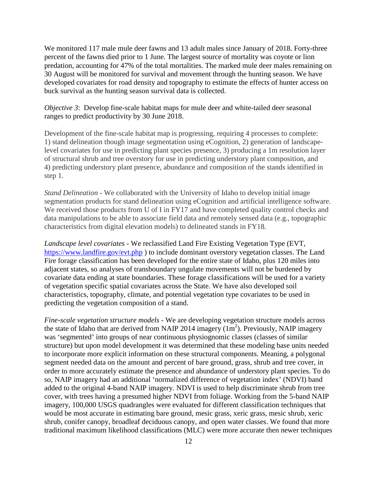We monitored 117 male mule deer fawns and 13 adult males since January of 2018. Forty-three percent of the fawns died prior to 1 June. The largest source of mortality was coyote or lion predation, accounting for 47% of the total mortalities. The marked mule deer males remaining on 30 August will be monitored for survival and movement through the hunting season. We have developed covariates for road density and topography to estimate the effects of hunter access on buck survival as the hunting season survival data is collected.

*Objective 3*: Develop fine-scale habitat maps for mule deer and white-tailed deer seasonal ranges to predict productivity by 30 June 2018.

Development of the fine-scale habitat map is progressing, requiring 4 processes to complete: 1) stand delineation though image segmentation using eCognition, 2) generation of landscapelevel covariates for use in predicting plant species presence, 3) producing a 1m resolution layer of structural shrub and tree overstory for use in predicting understory plant composition, and 4) predicting understory plant presence, abundance and composition of the stands identified in step 1.

*Stand Delineation* - We collaborated with the University of Idaho to develop initial image segmentation products for stand delineation using eCognition and artificial intelligence software. We received those products from U of I in FY17 and have completed quality control checks and data manipulations to be able to associate field data and remotely sensed data (e.g., topographic characteristics from digital elevation models) to delineated stands in FY18.

*Landscape level covariates* - We reclassified Land Fire Existing Vegetation Type (EVT, <https://www.landfire.gov/evt.php> ) to include dominant overstory vegetation classes. The Land Fire forage classification has been developed for the entire state of Idaho, plus 120 miles into adjacent states, so analyses of transboundary ungulate movements will not be burdened by covariate data ending at state boundaries. These forage classifications will be used for a variety of vegetation specific spatial covariates across the State. We have also developed soil characteristics, topography, climate, and potential vegetation type covariates to be used in predicting the vegetation composition of a stand.

*Fine-scale vegetation structure models* - We are developing vegetation structure models across the state of Idaho that are derived from NAIP 2014 imagery  $(1m^2)$ . Previously, NAIP imagery was 'segmented' into groups of near continuous physiognomic classes (classes of similar structure) but upon model development it was determined that these modeling base units needed to incorporate more explicit information on these structural components. Meaning, a polygonal segment needed data on the amount and percent of bare ground, grass, shrub and tree cover, in order to more accurately estimate the presence and abundance of understory plant species. To do so, NAIP imagery had an additional 'normalized difference of vegetation index' (NDVI) band added to the original 4-band NAIP imagery. NDVI is used to help discriminate shrub from tree cover, with trees having a presumed higher NDVI from foliage. Working from the 5-band NAIP imagery, 100,000 USGS quadrangles were evaluated for different classification techniques that would be most accurate in estimating bare ground, mesic grass, xeric grass, mesic shrub, xeric shrub, conifer canopy, broadleaf deciduous canopy, and open water classes. We found that more traditional maximum likelihood classifications (MLC) were more accurate then newer techniques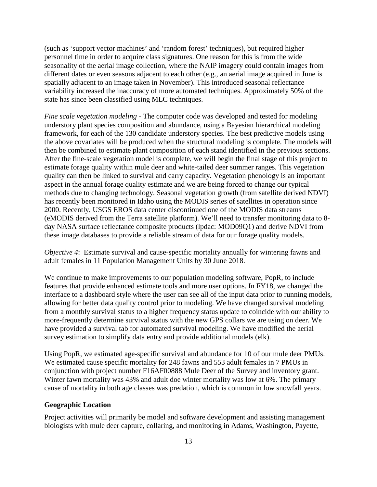(such as 'support vector machines' and 'random forest' techniques), but required higher personnel time in order to acquire class signatures. One reason for this is from the wide seasonality of the aerial image collection, where the NAIP imagery could contain images from different dates or even seasons adjacent to each other (e.g., an aerial image acquired in June is spatially adjacent to an image taken in November). This introduced seasonal reflectance variability increased the inaccuracy of more automated techniques. Approximately 50% of the state has since been classified using MLC techniques.

*Fine scale vegetation modeling* - The computer code was developed and tested for modeling understory plant species composition and abundance, using a Bayesian hierarchical modeling framework, for each of the 130 candidate understory species. The best predictive models using the above covariates will be produced when the structural modeling is complete. The models will then be combined to estimate plant composition of each stand identified in the previous sections. After the fine-scale vegetation model is complete, we will begin the final stage of this project to estimate forage quality within mule deer and white-tailed deer summer ranges. This vegetation quality can then be linked to survival and carry capacity. Vegetation phenology is an important aspect in the annual forage quality estimate and we are being forced to change our typical methods due to changing technology. Seasonal vegetation growth (from satellite derived NDVI) has recently been monitored in Idaho using the MODIS series of satellites in operation since 2000. Recently, USGS EROS data center discontinued one of the MODIS data streams (eMODIS derived from the Terra satellite platform). We'll need to transfer monitoring data to 8 day NASA surface reflectance composite products (lpdac: MOD09Q1) and derive NDVI from these image databases to provide a reliable stream of data for our forage quality models.

*Objective 4*: Estimate survival and cause-specific mortality annually for wintering fawns and adult females in 11 Population Management Units by 30 June 2018.

We continue to make improvements to our population modeling software, PopR, to include features that provide enhanced estimate tools and more user options. In FY18, we changed the interface to a dashboard style where the user can see all of the input data prior to running models, allowing for better data quality control prior to modeling. We have changed survival modeling from a monthly survival status to a higher frequency status update to coincide with our ability to more-frequently determine survival status with the new GPS collars we are using on deer. We have provided a survival tab for automated survival modeling. We have modified the aerial survey estimation to simplify data entry and provide additional models (elk).

Using PopR, we estimated age-specific survival and abundance for 10 of our mule deer PMUs. We estimated cause specific mortality for 248 fawns and 553 adult females in 7 PMUs in conjunction with project number F16AF00888 Mule Deer of the Survey and inventory grant. Winter fawn mortality was 43% and adult doe winter mortality was low at 6%. The primary cause of mortality in both age classes was predation, which is common in low snowfall years.

#### <span id="page-17-0"></span>**Geographic Location**

Project activities will primarily be model and software development and assisting management biologists with mule deer capture, collaring, and monitoring in Adams, Washington, Payette,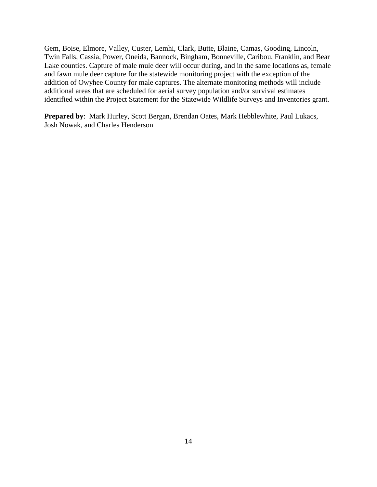Gem, Boise, Elmore, Valley, Custer, Lemhi, Clark, Butte, Blaine, Camas, Gooding, Lincoln, Twin Falls, Cassia, Power, Oneida, Bannock, Bingham, Bonneville, Caribou, Franklin, and Bear Lake counties. Capture of male mule deer will occur during, and in the same locations as, female and fawn mule deer capture for the statewide monitoring project with the exception of the addition of Owyhee County for male captures. The alternate monitoring methods will include additional areas that are scheduled for aerial survey population and/or survival estimates identified within the Project Statement for the Statewide Wildlife Surveys and Inventories grant.

**Prepared by**: Mark Hurley, Scott Bergan, Brendan Oates, Mark Hebblewhite, Paul Lukacs, Josh Nowak, and Charles Henderson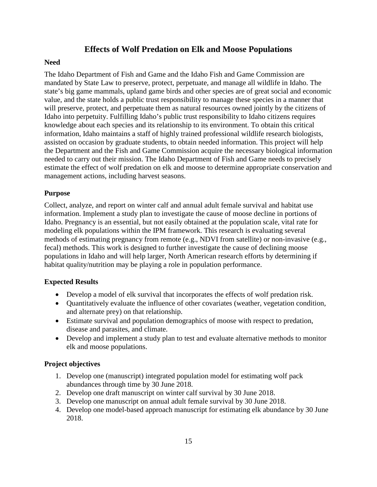## **Effects of Wolf Predation on Elk and Moose Populations**

## <span id="page-19-1"></span><span id="page-19-0"></span>**Need**

The Idaho Department of Fish and Game and the Idaho Fish and Game Commission are mandated by State Law to preserve, protect, perpetuate, and manage all wildlife in Idaho. The state's big game mammals, upland game birds and other species are of great social and economic value, and the state holds a public trust responsibility to manage these species in a manner that will preserve, protect, and perpetuate them as natural resources owned jointly by the citizens of Idaho into perpetuity. Fulfilling Idaho's public trust responsibility to Idaho citizens requires knowledge about each species and its relationship to its environment. To obtain this critical information, Idaho maintains a staff of highly trained professional wildlife research biologists, assisted on occasion by graduate students, to obtain needed information. This project will help the Department and the Fish and Game Commission acquire the necessary biological information needed to carry out their mission. The Idaho Department of Fish and Game needs to precisely estimate the effect of wolf predation on elk and moose to determine appropriate conservation and management actions, including harvest seasons.

## <span id="page-19-2"></span>**Purpose**

Collect, analyze, and report on winter calf and annual adult female survival and habitat use information. Implement a study plan to investigate the cause of moose decline in portions of Idaho. Pregnancy is an essential, but not easily obtained at the population scale, vital rate for modeling elk populations within the IPM framework. This research is evaluating several methods of estimating pregnancy from remote (e.g., NDVI from satellite) or non-invasive (e.g., fecal) methods. This work is designed to further investigate the cause of declining moose populations in Idaho and will help larger, North American research efforts by determining if habitat quality/nutrition may be playing a role in population performance.

## <span id="page-19-3"></span>**Expected Results**

- Develop a model of elk survival that incorporates the effects of wolf predation risk.
- Quantitatively evaluate the influence of other covariates (weather, vegetation condition, and alternate prey) on that relationship.
- Estimate survival and population demographics of moose with respect to predation, disease and parasites, and climate.
- Develop and implement a study plan to test and evaluate alternative methods to monitor elk and moose populations.

## <span id="page-19-4"></span>**Project objectives**

- 1. Develop one (manuscript) integrated population model for estimating wolf pack abundances through time by 30 June 2018.
- 2. Develop one draft manuscript on winter calf survival by 30 June 2018.
- 3. Develop one manuscript on annual adult female survival by 30 June 2018.
- 4. Develop one model-based approach manuscript for estimating elk abundance by 30 June 2018.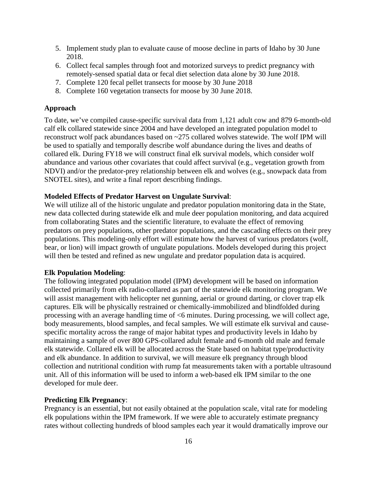- 5. Implement study plan to evaluate cause of moose decline in parts of Idaho by 30 June 2018.
- 6. Collect fecal samples through foot and motorized surveys to predict pregnancy with remotely-sensed spatial data or fecal diet selection data alone by 30 June 2018.
- 7. Complete 120 fecal pellet transects for moose by 30 June 2018
- 8. Complete 160 vegetation transects for moose by 30 June 2018.

#### <span id="page-20-0"></span>**Approach**

To date, we've compiled cause-specific survival data from 1,121 adult cow and 879 6-month-old calf elk collared statewide since 2004 and have developed an integrated population model to reconstruct wolf pack abundances based on ~275 collared wolves statewide. The wolf IPM will be used to spatially and temporally describe wolf abundance during the lives and deaths of collared elk. During FY18 we will construct final elk survival models, which consider wolf abundance and various other covariates that could affect survival (e.g., vegetation growth from NDVI) and/or the predator-prey relationship between elk and wolves (e.g., snowpack data from SNOTEL sites), and write a final report describing findings.

#### **Modeled Effects of Predator Harvest on Ungulate Survival**:

We will utilize all of the historic ungulate and predator population monitoring data in the State, new data collected during statewide elk and mule deer population monitoring, and data acquired from collaborating States and the scientific literature, to evaluate the effect of removing predators on prey populations, other predator populations, and the cascading effects on their prey populations. This modeling-only effort will estimate how the harvest of various predators (wolf, bear, or lion) will impact growth of ungulate populations. Models developed during this project will then be tested and refined as new ungulate and predator population data is acquired.

#### **Elk Population Modeling**:

The following integrated population model (IPM) development will be based on information collected primarily from elk radio-collared as part of the statewide elk monitoring program. We will assist management with helicopter net gunning, aerial or ground darting, or clover trap elk captures. Elk will be physically restrained or chemically-immobilized and blindfolded during processing with an average handling time of <6 minutes. During processing, we will collect age, body measurements, blood samples, and fecal samples. We will estimate elk survival and causespecific mortality across the range of major habitat types and productivity levels in Idaho by maintaining a sample of over 800 GPS-collared adult female and 6-month old male and female elk statewide. Collared elk will be allocated across the State based on habitat type/productivity and elk abundance. In addition to survival, we will measure elk pregnancy through blood collection and nutritional condition with rump fat measurements taken with a portable ultrasound unit. All of this information will be used to inform a web-based elk IPM similar to the one developed for mule deer.

#### **Predicting Elk Pregnancy**:

Pregnancy is an essential, but not easily obtained at the population scale, vital rate for modeling elk populations within the IPM framework. If we were able to accurately estimate pregnancy rates without collecting hundreds of blood samples each year it would dramatically improve our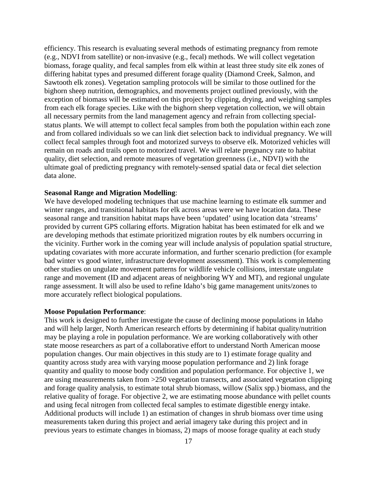efficiency. This research is evaluating several methods of estimating pregnancy from remote (e.g., NDVI from satellite) or non-invasive (e.g., fecal) methods. We will collect vegetation biomass, forage quality, and fecal samples from elk within at least three study site elk zones of differing habitat types and presumed different forage quality (Diamond Creek, Salmon, and Sawtooth elk zones). Vegetation sampling protocols will be similar to those outlined for the bighorn sheep nutrition, demographics, and movements project outlined previously, with the exception of biomass will be estimated on this project by clipping, drying, and weighing samples from each elk forage species. Like with the bighorn sheep vegetation collection, we will obtain all necessary permits from the land management agency and refrain from collecting specialstatus plants. We will attempt to collect fecal samples from both the population within each zone and from collared individuals so we can link diet selection back to individual pregnancy. We will collect fecal samples through foot and motorized surveys to observe elk. Motorized vehicles will remain on roads and trails open to motorized travel. We will relate pregnancy rate to habitat quality, diet selection, and remote measures of vegetation greenness (i.e., NDVI) with the ultimate goal of predicting pregnancy with remotely-sensed spatial data or fecal diet selection data alone.

#### **Seasonal Range and Migration Modelling**:

We have developed modeling techniques that use machine learning to estimate elk summer and winter ranges, and transitional habitats for elk across areas were we have location data. These seasonal range and transition habitat maps have been 'updated' using location data 'streams' provided by current GPS collaring efforts. Migration habitat has been estimated for elk and we are developing methods that estimate prioritized migration routes by elk numbers occurring in the vicinity. Further work in the coming year will include analysis of population spatial structure, updating covariates with more accurate information, and further scenario prediction (for example bad winter vs good winter, infrastructure development assessment). This work is complementing other studies on ungulate movement patterns for wildlife vehicle collisions, interstate ungulate range and movement (ID and adjacent areas of neighboring WY and MT), and regional ungulate range assessment. It will also be used to refine Idaho's big game management units/zones to more accurately reflect biological populations.

#### **Moose Population Performance**:

This work is designed to further investigate the cause of declining moose populations in Idaho and will help larger, North American research efforts by determining if habitat quality/nutrition may be playing a role in population performance. We are working collaboratively with other state moose researchers as part of a collaborative effort to understand North American moose population changes. Our main objectives in this study are to 1) estimate forage quality and quantity across study area with varying moose population performance and 2) link forage quantity and quality to moose body condition and population performance. For objective 1, we are using measurements taken from >250 vegetation transects, and associated vegetation clipping and forage quality analysis, to estimate total shrub biomass, willow (Salix spp.) biomass, and the relative quality of forage. For objective 2, we are estimating moose abundance with pellet counts and using fecal nitrogen from collected fecal samples to estimate digestible energy intake. Additional products will include 1) an estimation of changes in shrub biomass over time using measurements taken during this project and aerial imagery take during this project and in previous years to estimate changes in biomass, 2) maps of moose forage quality at each study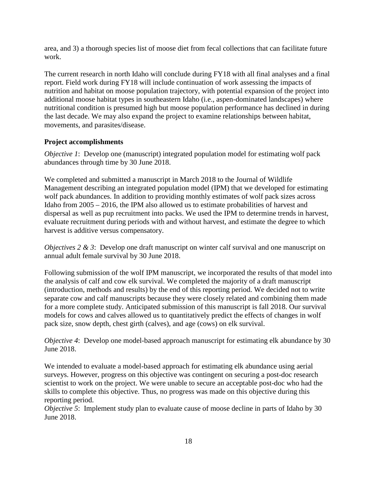area, and 3) a thorough species list of moose diet from fecal collections that can facilitate future work.

The current research in north Idaho will conclude during FY18 with all final analyses and a final report. Field work during FY18 will include continuation of work assessing the impacts of nutrition and habitat on moose population trajectory, with potential expansion of the project into additional moose habitat types in southeastern Idaho (i.e., aspen-dominated landscapes) where nutritional condition is presumed high but moose population performance has declined in during the last decade. We may also expand the project to examine relationships between habitat, movements, and parasites/disease.

## <span id="page-22-0"></span>**Project accomplishments**

*Objective 1*: Develop one (manuscript) integrated population model for estimating wolf pack abundances through time by 30 June 2018.

We completed and submitted a manuscript in March 2018 to the Journal of Wildlife Management describing an integrated population model (IPM) that we developed for estimating wolf pack abundances. In addition to providing monthly estimates of wolf pack sizes across Idaho from 2005 – 2016, the IPM also allowed us to estimate probabilities of harvest and dispersal as well as pup recruitment into packs. We used the IPM to determine trends in harvest, evaluate recruitment during periods with and without harvest, and estimate the degree to which harvest is additive versus compensatory.

*Objectives 2 & 3*: Develop one draft manuscript on winter calf survival and one manuscript on annual adult female survival by 30 June 2018.

Following submission of the wolf IPM manuscript, we incorporated the results of that model into the analysis of calf and cow elk survival. We completed the majority of a draft manuscript (introduction, methods and results) by the end of this reporting period. We decided not to write separate cow and calf manuscripts because they were closely related and combining them made for a more complete study. Anticipated submission of this manuscript is fall 2018. Our survival models for cows and calves allowed us to quantitatively predict the effects of changes in wolf pack size, snow depth, chest girth (calves), and age (cows) on elk survival.

*Objective 4*: Develop one model-based approach manuscript for estimating elk abundance by 30 June 2018.

We intended to evaluate a model-based approach for estimating elk abundance using aerial surveys. However, progress on this objective was contingent on securing a post-doc research scientist to work on the project. We were unable to secure an acceptable post-doc who had the skills to complete this objective. Thus, no progress was made on this objective during this reporting period.

*Objective 5*: Implement study plan to evaluate cause of moose decline in parts of Idaho by 30 June 2018.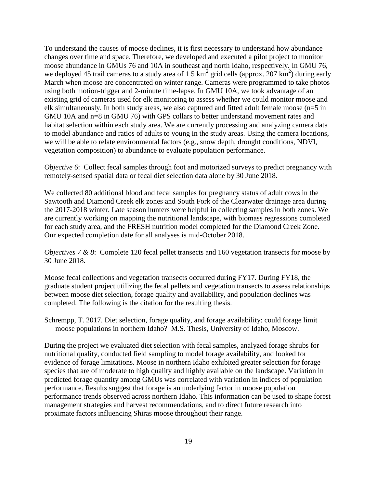To understand the causes of moose declines, it is first necessary to understand how abundance changes over time and space. Therefore, we developed and executed a pilot project to monitor moose abundance in GMUs 76 and 10A in southeast and north Idaho, respectively. In GMU 76, we deployed 45 trail cameras to a study area of 1.5  $km^2$  grid cells (approx. 207  $km^2$ ) during early March when moose are concentrated on winter range. Cameras were programmed to take photos using both motion-trigger and 2-minute time-lapse. In GMU 10A, we took advantage of an existing grid of cameras used for elk monitoring to assess whether we could monitor moose and elk simultaneously. In both study areas, we also captured and fitted adult female moose (n=5 in GMU 10A and n=8 in GMU 76) with GPS collars to better understand movement rates and habitat selection within each study area. We are currently processing and analyzing camera data to model abundance and ratios of adults to young in the study areas. Using the camera locations, we will be able to relate environmental factors (e.g., snow depth, drought conditions, NDVI, vegetation composition) to abundance to evaluate population performance.

*Objective 6*: Collect fecal samples through foot and motorized surveys to predict pregnancy with remotely-sensed spatial data or fecal diet selection data alone by 30 June 2018.

We collected 80 additional blood and fecal samples for pregnancy status of adult cows in the Sawtooth and Diamond Creek elk zones and South Fork of the Clearwater drainage area during the 2017-2018 winter. Late season hunters were helpful in collecting samples in both zones. We are currently working on mapping the nutritional landscape, with biomass regressions completed for each study area, and the FRESH nutrition model completed for the Diamond Creek Zone. Our expected completion date for all analyses is mid-October 2018.

*Objectives 7 & 8*: Complete 120 fecal pellet transects and 160 vegetation transects for moose by 30 June 2018.

Moose fecal collections and vegetation transects occurred during FY17. During FY18, the graduate student project utilizing the fecal pellets and vegetation transects to assess relationships between moose diet selection, forage quality and availability, and population declines was completed. The following is the citation for the resulting thesis.

Schrempp, T. 2017. Diet selection, forage quality, and forage availability: could forage limit moose populations in northern Idaho? M.S. Thesis, University of Idaho, Moscow.

During the project we evaluated diet selection with fecal samples, analyzed forage shrubs for nutritional quality, conducted field sampling to model forage availability, and looked for evidence of forage limitations. Moose in northern Idaho exhibited greater selection for forage species that are of moderate to high quality and highly available on the landscape. Variation in predicted forage quantity among GMUs was correlated with variation in indices of population performance. Results suggest that forage is an underlying factor in moose population performance trends observed across northern Idaho. This information can be used to shape forest management strategies and harvest recommendations, and to direct future research into proximate factors influencing Shiras moose throughout their range.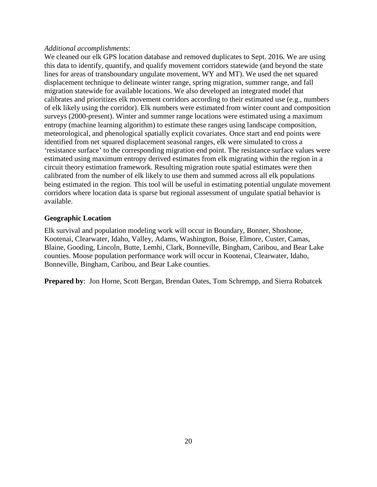#### *Additional accomplishments*:

We cleaned our elk GPS location database and removed duplicates to Sept. 2016. We are using this data to identify, quantify, and qualify movement corridors statewide (and beyond the state lines for areas of transboundary ungulate movement, WY and MT). We used the net squared displacement technique to delineate winter range, spring migration, summer range, and fall migration statewide for available locations. We also developed an integrated model that calibrates and prioritizes elk movement corridors according to their estimated use (e.g., numbers of elk likely using the corridor). Elk numbers were estimated from winter count and composition surveys (2000-present). Winter and summer range locations were estimated using a maximum entropy (machine learning algorithm) to estimate these ranges using landscape composition, meteorological, and phenological spatially explicit covariates. Once start and end points were identified from net squared displacement seasonal ranges, elk were simulated to cross a 'resistance surface' to the corresponding migration end point. The resistance surface values were estimated using maximum entropy derived estimates from elk migrating within the region in a circuit theory estimation framework. Resulting migration route spatial estimates were then calibrated from the number of elk likely to use them and summed across all elk populations being estimated in the region. This tool will be useful in estimating potential ungulate movement corridors where location data is sparse but regional assessment of ungulate spatial behavior is available.

## <span id="page-24-0"></span>**Geographic Location**

Elk survival and population modeling work will occur in Boundary, Bonner, Shoshone, Kootenai, Clearwater, Idaho, Valley, Adams, Washington, Boise, Elmore, Custer, Camas, Blaine, Gooding, Lincoln, Butte, Lemhi, Clark, Bonneville, Bingham, Caribou, and Bear Lake counties. Moose population performance work will occur in Kootenai, Clearwater, Idaho, Bonneville, Bingham, Caribou, and Bear Lake counties.

**Prepared by**: Jon Horne, Scott Bergan, Brendan Oates, Tom Schrempp, and Sierra Robatcek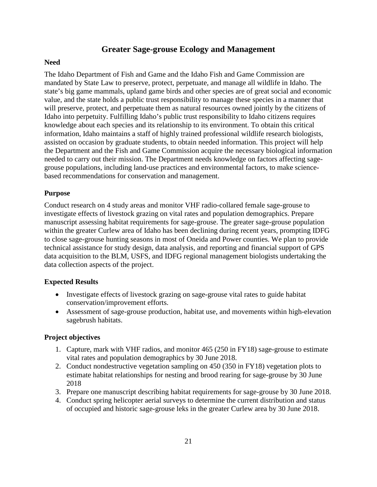## **Greater Sage-grouse Ecology and Management**

### <span id="page-25-1"></span><span id="page-25-0"></span>**Need**

The Idaho Department of Fish and Game and the Idaho Fish and Game Commission are mandated by State Law to preserve, protect, perpetuate, and manage all wildlife in Idaho. The state's big game mammals, upland game birds and other species are of great social and economic value, and the state holds a public trust responsibility to manage these species in a manner that will preserve, protect, and perpetuate them as natural resources owned jointly by the citizens of Idaho into perpetuity. Fulfilling Idaho's public trust responsibility to Idaho citizens requires knowledge about each species and its relationship to its environment. To obtain this critical information, Idaho maintains a staff of highly trained professional wildlife research biologists, assisted on occasion by graduate students, to obtain needed information. This project will help the Department and the Fish and Game Commission acquire the necessary biological information needed to carry out their mission. The Department needs knowledge on factors affecting sagegrouse populations, including land-use practices and environmental factors, to make sciencebased recommendations for conservation and management.

## <span id="page-25-2"></span>**Purpose**

Conduct research on 4 study areas and monitor VHF radio-collared female sage-grouse to investigate effects of livestock grazing on vital rates and population demographics. Prepare manuscript assessing habitat requirements for sage-grouse. The greater sage-grouse population within the greater Curlew area of Idaho has been declining during recent years, prompting IDFG to close sage-grouse hunting seasons in most of Oneida and Power counties. We plan to provide technical assistance for study design, data analysis, and reporting and financial support of GPS data acquisition to the BLM, USFS, and IDFG regional management biologists undertaking the data collection aspects of the project.

## <span id="page-25-3"></span>**Expected Results**

- Investigate effects of livestock grazing on sage-grouse vital rates to guide habitat conservation/improvement efforts.
- Assessment of sage-grouse production, habitat use, and movements within high-elevation sagebrush habitats.

## <span id="page-25-4"></span>**Project objectives**

- 1. Capture, mark with VHF radios, and monitor 465 (250 in FY18) sage-grouse to estimate vital rates and population demographics by 30 June 2018.
- 2. Conduct nondestructive vegetation sampling on 450 (350 in FY18) vegetation plots to estimate habitat relationships for nesting and brood rearing for sage-grouse by 30 June 2018
- 3. Prepare one manuscript describing habitat requirements for sage-grouse by 30 June 2018.
- 4. Conduct spring helicopter aerial surveys to determine the current distribution and status of occupied and historic sage-grouse leks in the greater Curlew area by 30 June 2018.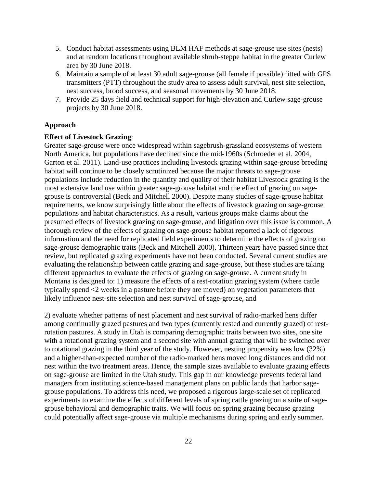- 5. Conduct habitat assessments using BLM HAF methods at sage-grouse use sites (nests) and at random locations throughout available shrub-steppe habitat in the greater Curlew area by 30 June 2018.
- 6. Maintain a sample of at least 30 adult sage-grouse (all female if possible) fitted with GPS transmitters (PTT) throughout the study area to assess adult survival, nest site selection, nest success, brood success, and seasonal movements by 30 June 2018.
- 7. Provide 25 days field and technical support for high-elevation and Curlew sage-grouse projects by 30 June 2018.

#### <span id="page-26-0"></span>**Approach**

#### **Effect of Livestock Grazing**:

Greater sage-grouse were once widespread within sagebrush-grassland ecosystems of western North America, but populations have declined since the mid-1960s (Schroeder et al. 2004, Garton et al. 2011). Land-use practices including livestock grazing within sage-grouse breeding habitat will continue to be closely scrutinized because the major threats to sage-grouse populations include reduction in the quantity and quality of their habitat Livestock grazing is the most extensive land use within greater sage-grouse habitat and the effect of grazing on sagegrouse is controversial (Beck and Mitchell 2000). Despite many studies of sage-grouse habitat requirements, we know surprisingly little about the effects of livestock grazing on sage-grouse populations and habitat characteristics. As a result, various groups make claims about the presumed effects of livestock grazing on sage-grouse, and litigation over this issue is common. A thorough review of the effects of grazing on sage-grouse habitat reported a lack of rigorous information and the need for replicated field experiments to determine the effects of grazing on sage-grouse demographic traits (Beck and Mitchell 2000). Thirteen years have passed since that review, but replicated grazing experiments have not been conducted. Several current studies are evaluating the relationship between cattle grazing and sage-grouse, but these studies are taking different approaches to evaluate the effects of grazing on sage-grouse. A current study in Montana is designed to: 1) measure the effects of a rest-rotation grazing system (where cattle typically spend <2 weeks in a pasture before they are moved) on vegetation parameters that likely influence nest-site selection and nest survival of sage-grouse, and

2) evaluate whether patterns of nest placement and nest survival of radio-marked hens differ among continually grazed pastures and two types (currently rested and currently grazed) of restrotation pastures. A study in Utah is comparing demographic traits between two sites, one site with a rotational grazing system and a second site with annual grazing that will be switched over to rotational grazing in the third year of the study. However, nesting propensity was low (32%) and a higher-than-expected number of the radio-marked hens moved long distances and did not nest within the two treatment areas. Hence, the sample sizes available to evaluate grazing effects on sage-grouse are limited in the Utah study. This gap in our knowledge prevents federal land managers from instituting science-based management plans on public lands that harbor sagegrouse populations. To address this need, we proposed a rigorous large-scale set of replicated experiments to examine the effects of different levels of spring cattle grazing on a suite of sagegrouse behavioral and demographic traits. We will focus on spring grazing because grazing could potentially affect sage-grouse via multiple mechanisms during spring and early summer.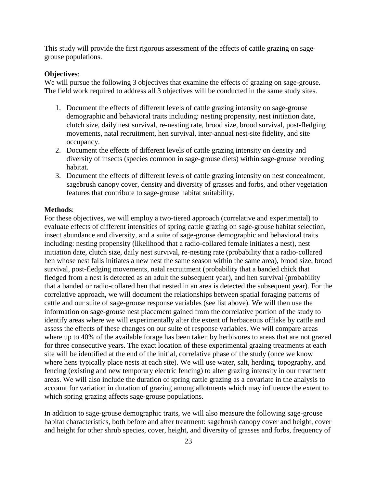This study will provide the first rigorous assessment of the effects of cattle grazing on sagegrouse populations.

#### **Objectives**:

We will pursue the following 3 objectives that examine the effects of grazing on sage-grouse. The field work required to address all 3 objectives will be conducted in the same study sites.

- 1. Document the effects of different levels of cattle grazing intensity on sage-grouse demographic and behavioral traits including: nesting propensity, nest initiation date, clutch size, daily nest survival, re-nesting rate, brood size, brood survival, post-fledging movements, natal recruitment, hen survival, inter-annual nest-site fidelity, and site occupancy.
- 2. Document the effects of different levels of cattle grazing intensity on density and diversity of insects (species common in sage-grouse diets) within sage-grouse breeding habitat.
- 3. Document the effects of different levels of cattle grazing intensity on nest concealment, sagebrush canopy cover, density and diversity of grasses and forbs, and other vegetation features that contribute to sage-grouse habitat suitability.

#### **Methods**:

For these objectives, we will employ a two-tiered approach (correlative and experimental) to evaluate effects of different intensities of spring cattle grazing on sage-grouse habitat selection, insect abundance and diversity, and a suite of sage-grouse demographic and behavioral traits including: nesting propensity (likelihood that a radio-collared female initiates a nest), nest initiation date, clutch size, daily nest survival, re-nesting rate (probability that a radio-collared hen whose nest fails initiates a new nest the same season within the same area), brood size, brood survival, post-fledging movements, natal recruitment (probability that a banded chick that fledged from a nest is detected as an adult the subsequent year), and hen survival (probability that a banded or radio-collared hen that nested in an area is detected the subsequent year). For the correlative approach, we will document the relationships between spatial foraging patterns of cattle and our suite of sage-grouse response variables (see list above). We will then use the information on sage-grouse nest placement gained from the correlative portion of the study to identify areas where we will experimentally alter the extent of herbaceous offtake by cattle and assess the effects of these changes on our suite of response variables. We will compare areas where up to 40% of the available forage has been taken by herbivores to areas that are not grazed for three consecutive years. The exact location of these experimental grazing treatments at each site will be identified at the end of the initial, correlative phase of the study (once we know where hens typically place nests at each site). We will use water, salt, herding, topography, and fencing (existing and new temporary electric fencing) to alter grazing intensity in our treatment areas. We will also include the duration of spring cattle grazing as a covariate in the analysis to account for variation in duration of grazing among allotments which may influence the extent to which spring grazing affects sage-grouse populations.

In addition to sage-grouse demographic traits, we will also measure the following sage-grouse habitat characteristics, both before and after treatment: sagebrush canopy cover and height, cover and height for other shrub species, cover, height, and diversity of grasses and forbs, frequency of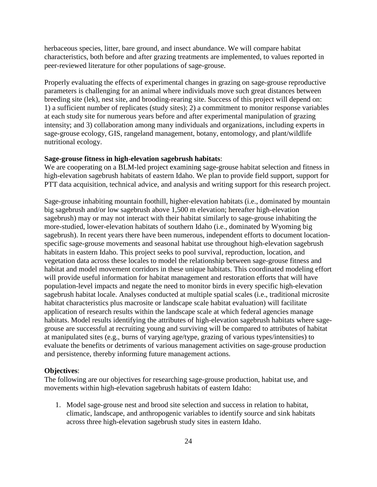herbaceous species, litter, bare ground, and insect abundance. We will compare habitat characteristics, both before and after grazing treatments are implemented, to values reported in peer-reviewed literature for other populations of sage-grouse.

Properly evaluating the effects of experimental changes in grazing on sage-grouse reproductive parameters is challenging for an animal where individuals move such great distances between breeding site (lek), nest site, and brooding-rearing site. Success of this project will depend on: 1) a sufficient number of replicates (study sites); 2) a commitment to monitor response variables at each study site for numerous years before and after experimental manipulation of grazing intensity; and 3) collaboration among many individuals and organizations, including experts in sage-grouse ecology, GIS, rangeland management, botany, entomology, and plant/wildlife nutritional ecology.

#### **Sage-grouse fitness in high-elevation sagebrush habitats**:

We are cooperating on a BLM-led project examining sage-grouse habitat selection and fitness in high-elevation sagebrush habitats of eastern Idaho. We plan to provide field support, support for PTT data acquisition, technical advice, and analysis and writing support for this research project.

Sage-grouse inhabiting mountain foothill, higher-elevation habitats (i.e., dominated by mountain big sagebrush and/or low sagebrush above 1,500 m elevation; hereafter high-elevation sagebrush) may or may not interact with their habitat similarly to sage-grouse inhabiting the more-studied, lower-elevation habitats of southern Idaho (i.e., dominated by Wyoming big sagebrush). In recent years there have been numerous, independent efforts to document locationspecific sage-grouse movements and seasonal habitat use throughout high-elevation sagebrush habitats in eastern Idaho. This project seeks to pool survival, reproduction, location, and vegetation data across these locales to model the relationship between sage-grouse fitness and habitat and model movement corridors in these unique habitats. This coordinated modeling effort will provide useful information for habitat management and restoration efforts that will have population-level impacts and negate the need to monitor birds in every specific high-elevation sagebrush habitat locale. Analyses conducted at multiple spatial scales (i.e., traditional microsite habitat characteristics plus macrosite or landscape scale habitat evaluation) will facilitate application of research results within the landscape scale at which federal agencies manage habitats. Model results identifying the attributes of high-elevation sagebrush habitats where sagegrouse are successful at recruiting young and surviving will be compared to attributes of habitat at manipulated sites (e.g., burns of varying age/type, grazing of various types/intensities) to evaluate the benefits or detriments of various management activities on sage-grouse production and persistence, thereby informing future management actions.

#### **Objectives**:

The following are our objectives for researching sage-grouse production, habitat use, and movements within high-elevation sagebrush habitats of eastern Idaho:

1. Model sage-grouse nest and brood site selection and success in relation to habitat, climatic, landscape, and anthropogenic variables to identify source and sink habitats across three high-elevation sagebrush study sites in eastern Idaho.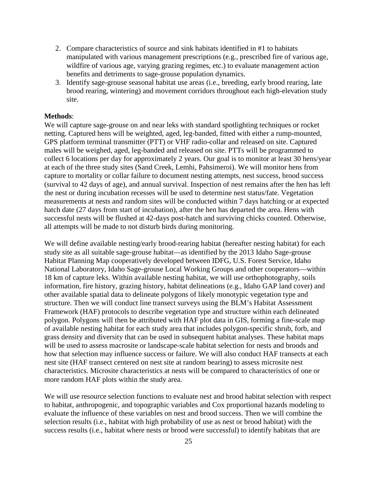- 2. Compare characteristics of source and sink habitats identified in #1 to habitats manipulated with various management prescriptions (e.g., prescribed fire of various age, wildfire of various age, varying grazing regimes, etc.) to evaluate management action benefits and detriments to sage-grouse population dynamics.
- 3. Identify sage-grouse seasonal habitat use areas (i.e., breeding, early brood rearing, late brood rearing, wintering) and movement corridors throughout each high-elevation study site.

#### **Methods**:

We will capture sage-grouse on and near leks with standard spotlighting techniques or rocket netting. Captured hens will be weighted, aged, leg-banded, fitted with either a rump-mounted, GPS platform terminal transmitter (PTT) or VHF radio-collar and released on site. Captured males will be weighed, aged, leg-banded and released on site. PTTs will be programmed to collect 6 locations per day for approximately 2 years. Our goal is to monitor at least 30 hens/year at each of the three study sites (Sand Creek, Lemhi, Pahsimeroi). We will monitor hens from capture to mortality or collar failure to document nesting attempts, nest success, brood success (survival to 42 days of age), and annual survival. Inspection of nest remains after the hen has left the nest or during incubation recesses will be used to determine nest status/fate. Vegetation measurements at nests and random sites will be conducted within 7 days hatching or at expected hatch date (27 days from start of incubation), after the hen has departed the area. Hens with successful nests will be flushed at 42-days post-hatch and surviving chicks counted. Otherwise, all attempts will be made to not disturb birds during monitoring.

We will define available nesting/early brood-rearing habitat (hereafter nesting habitat) for each study site as all suitable sage-grouse habitat—as identified by the 2013 Idaho Sage-grouse Habitat Planning Map cooperatively developed between IDFG, U.S. Forest Service, Idaho National Laboratory, Idaho Sage-grouse Local Working Groups and other cooperators—within 18 km of capture leks. Within available nesting habitat, we will use orthophotography, soils information, fire history, grazing history, habitat delineations (e.g., Idaho GAP land cover) and other available spatial data to delineate polygons of likely monotypic vegetation type and structure. Then we will conduct line transect surveys using the BLM's Habitat Assessment Framework (HAF) protocols to describe vegetation type and structure within each delineated polygon. Polygons will then be attributed with HAF plot data in GIS, forming a fine-scale map of available nesting habitat for each study area that includes polygon-specific shrub, forb, and grass density and diversity that can be used in subsequent habitat analyses. These habitat maps will be used to assess macrosite or landscape-scale habitat selection for nests and broods and how that selection may influence success or failure. We will also conduct HAF transects at each nest site (HAF transect centered on nest site at random bearing) to assess microsite nest characteristics. Microsite characteristics at nests will be compared to characteristics of one or more random HAF plots within the study area.

We will use resource selection functions to evaluate nest and brood habitat selection with respect to habitat, anthropogenic, and topographic variables and Cox proportional hazards modeling to evaluate the influence of these variables on nest and brood success. Then we will combine the selection results (i.e., habitat with high probability of use as nest or brood habitat) with the success results (i.e., habitat where nests or brood were successful) to identify habitats that are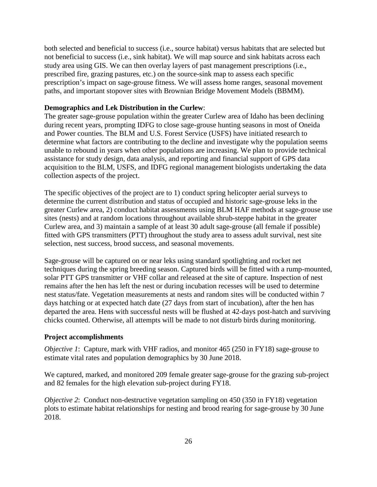both selected and beneficial to success (i.e., source habitat) versus habitats that are selected but not beneficial to success (i.e., sink habitat). We will map source and sink habitats across each study area using GIS. We can then overlay layers of past management prescriptions (i.e., prescribed fire, grazing pastures, etc.) on the source-sink map to assess each specific prescription's impact on sage-grouse fitness. We will assess home ranges, seasonal movement paths, and important stopover sites with Brownian Bridge Movement Models (BBMM).

#### **Demographics and Lek Distribution in the Curlew**:

The greater sage-grouse population within the greater Curlew area of Idaho has been declining during recent years, prompting IDFG to close sage-grouse hunting seasons in most of Oneida and Power counties. The BLM and U.S. Forest Service (USFS) have initiated research to determine what factors are contributing to the decline and investigate why the population seems unable to rebound in years when other populations are increasing. We plan to provide technical assistance for study design, data analysis, and reporting and financial support of GPS data acquisition to the BLM, USFS, and IDFG regional management biologists undertaking the data collection aspects of the project.

The specific objectives of the project are to 1) conduct spring helicopter aerial surveys to determine the current distribution and status of occupied and historic sage-grouse leks in the greater Curlew area, 2) conduct habitat assessments using BLM HAF methods at sage-grouse use sites (nests) and at random locations throughout available shrub-steppe habitat in the greater Curlew area, and 3) maintain a sample of at least 30 adult sage-grouse (all female if possible) fitted with GPS transmitters (PTT) throughout the study area to assess adult survival, nest site selection, nest success, brood success, and seasonal movements.

Sage-grouse will be captured on or near leks using standard spotlighting and rocket net techniques during the spring breeding season. Captured birds will be fitted with a rump-mounted, solar PTT GPS transmitter or VHF collar and released at the site of capture. Inspection of nest remains after the hen has left the nest or during incubation recesses will be used to determine nest status/fate. Vegetation measurements at nests and random sites will be conducted within 7 days hatching or at expected hatch date (27 days from start of incubation), after the hen has departed the area. Hens with successful nests will be flushed at 42-days post-hatch and surviving chicks counted. Otherwise, all attempts will be made to not disturb birds during monitoring.

#### <span id="page-30-0"></span>**Project accomplishments**

*Objective 1*: Capture, mark with VHF radios, and monitor 465 (250 in FY18) sage-grouse to estimate vital rates and population demographics by 30 June 2018.

We captured, marked, and monitored 209 female greater sage-grouse for the grazing sub-project and 82 females for the high elevation sub-project during FY18.

*Objective 2*: Conduct non-destructive vegetation sampling on 450 (350 in FY18) vegetation plots to estimate habitat relationships for nesting and brood rearing for sage-grouse by 30 June 2018.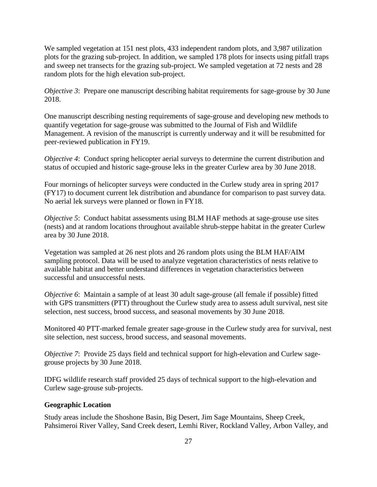We sampled vegetation at 151 nest plots, 433 independent random plots, and 3,987 utilization plots for the grazing sub-project. In addition, we sampled 178 plots for insects using pitfall traps and sweep net transects for the grazing sub-project. We sampled vegetation at 72 nests and 28 random plots for the high elevation sub-project.

*Objective 3*: Prepare one manuscript describing habitat requirements for sage-grouse by 30 June 2018.

One manuscript describing nesting requirements of sage-grouse and developing new methods to quantify vegetation for sage-grouse was submitted to the Journal of Fish and Wildlife Management. A revision of the manuscript is currently underway and it will be resubmitted for peer-reviewed publication in FY19.

*Objective 4*: Conduct spring helicopter aerial surveys to determine the current distribution and status of occupied and historic sage-grouse leks in the greater Curlew area by 30 June 2018.

Four mornings of helicopter surveys were conducted in the Curlew study area in spring 2017 (FY17) to document current lek distribution and abundance for comparison to past survey data. No aerial lek surveys were planned or flown in FY18.

*Objective 5*: Conduct habitat assessments using BLM HAF methods at sage-grouse use sites (nests) and at random locations throughout available shrub-steppe habitat in the greater Curlew area by 30 June 2018.

Vegetation was sampled at 26 nest plots and 26 random plots using the BLM HAF/AIM sampling protocol. Data will be used to analyze vegetation characteristics of nests relative to available habitat and better understand differences in vegetation characteristics between successful and unsuccessful nests.

*Objective 6*: Maintain a sample of at least 30 adult sage-grouse (all female if possible) fitted with GPS transmitters (PTT) throughout the Curlew study area to assess adult survival, nest site selection, nest success, brood success, and seasonal movements by 30 June 2018.

Monitored 40 PTT-marked female greater sage-grouse in the Curlew study area for survival, nest site selection, nest success, brood success, and seasonal movements.

*Objective 7*: Provide 25 days field and technical support for high-elevation and Curlew sagegrouse projects by 30 June 2018.

IDFG wildlife research staff provided 25 days of technical support to the high-elevation and Curlew sage-grouse sub-projects.

#### <span id="page-31-0"></span>**Geographic Location**

Study areas include the Shoshone Basin, Big Desert, Jim Sage Mountains, Sheep Creek, Pahsimeroi River Valley, Sand Creek desert, Lemhi River, Rockland Valley, Arbon Valley, and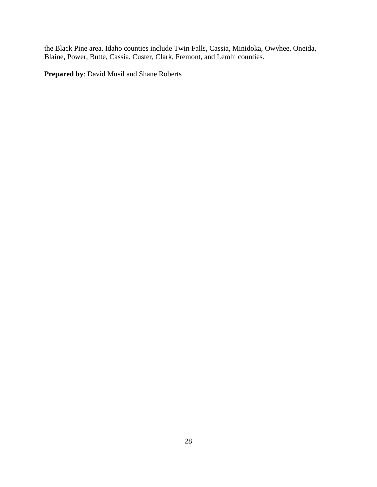the Black Pine area. Idaho counties include Twin Falls, Cassia, Minidoka, Owyhee, Oneida, Blaine, Power, Butte, Cassia, Custer, Clark, Fremont, and Lemhi counties.

**Prepared by**: David Musil and Shane Roberts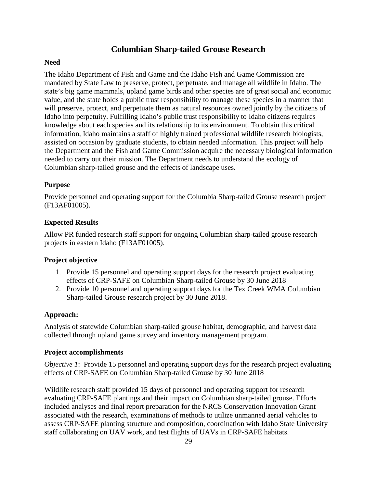## **Columbian Sharp-tailed Grouse Research**

## <span id="page-33-1"></span><span id="page-33-0"></span>**Need**

The Idaho Department of Fish and Game and the Idaho Fish and Game Commission are mandated by State Law to preserve, protect, perpetuate, and manage all wildlife in Idaho. The state's big game mammals, upland game birds and other species are of great social and economic value, and the state holds a public trust responsibility to manage these species in a manner that will preserve, protect, and perpetuate them as natural resources owned jointly by the citizens of Idaho into perpetuity. Fulfilling Idaho's public trust responsibility to Idaho citizens requires knowledge about each species and its relationship to its environment. To obtain this critical information, Idaho maintains a staff of highly trained professional wildlife research biologists, assisted on occasion by graduate students, to obtain needed information. This project will help the Department and the Fish and Game Commission acquire the necessary biological information needed to carry out their mission. The Department needs to understand the ecology of Columbian sharp-tailed grouse and the effects of landscape uses.

## <span id="page-33-2"></span>**Purpose**

Provide personnel and operating support for the Columbia Sharp-tailed Grouse research project (F13AF01005).

## <span id="page-33-3"></span>**Expected Results**

Allow PR funded research staff support for ongoing Columbian sharp-tailed grouse research projects in eastern Idaho (F13AF01005).

## <span id="page-33-4"></span>**Project objective**

- 1. Provide 15 personnel and operating support days for the research project evaluating effects of CRP-SAFE on Columbian Sharp-tailed Grouse by 30 June 2018
- 2. Provide 10 personnel and operating support days for the Tex Creek WMA Columbian Sharp-tailed Grouse research project by 30 June 2018.

## <span id="page-33-5"></span>**Approach:**

Analysis of statewide Columbian sharp-tailed grouse habitat, demographic, and harvest data collected through upland game survey and inventory management program.

## <span id="page-33-6"></span>**Project accomplishments**

*Objective 1*: Provide 15 personnel and operating support days for the research project evaluating effects of CRP-SAFE on Columbian Sharp-tailed Grouse by 30 June 2018

Wildlife research staff provided 15 days of personnel and operating support for research evaluating CRP-SAFE plantings and their impact on Columbian sharp-tailed grouse. Efforts included analyses and final report preparation for the NRCS Conservation Innovation Grant associated with the research, examinations of methods to utilize unmanned aerial vehicles to assess CRP-SAFE planting structure and composition, coordination with Idaho State University staff collaborating on UAV work, and test flights of UAVs in CRP-SAFE habitats.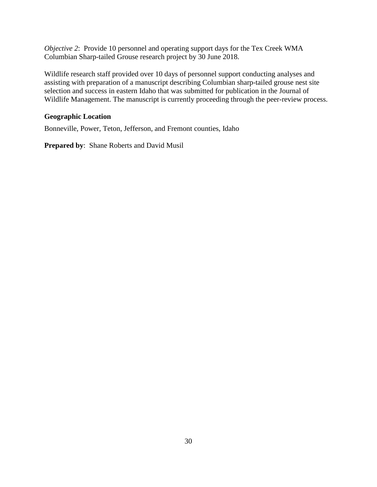*Objective 2*: Provide 10 personnel and operating support days for the Tex Creek WMA Columbian Sharp-tailed Grouse research project by 30 June 2018.

Wildlife research staff provided over 10 days of personnel support conducting analyses and assisting with preparation of a manuscript describing Columbian sharp-tailed grouse nest site selection and success in eastern Idaho that was submitted for publication in the Journal of Wildlife Management. The manuscript is currently proceeding through the peer-review process.

## <span id="page-34-0"></span>**Geographic Location**

Bonneville, Power, Teton, Jefferson, and Fremont counties, Idaho

**Prepared by**: Shane Roberts and David Musil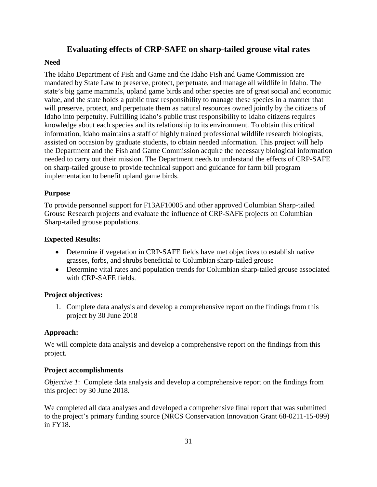## **Evaluating effects of CRP-SAFE on sharp-tailed grouse vital rates**

## <span id="page-35-1"></span><span id="page-35-0"></span>**Need**

The Idaho Department of Fish and Game and the Idaho Fish and Game Commission are mandated by State Law to preserve, protect, perpetuate, and manage all wildlife in Idaho. The state's big game mammals, upland game birds and other species are of great social and economic value, and the state holds a public trust responsibility to manage these species in a manner that will preserve, protect, and perpetuate them as natural resources owned jointly by the citizens of Idaho into perpetuity. Fulfilling Idaho's public trust responsibility to Idaho citizens requires knowledge about each species and its relationship to its environment. To obtain this critical information, Idaho maintains a staff of highly trained professional wildlife research biologists, assisted on occasion by graduate students, to obtain needed information. This project will help the Department and the Fish and Game Commission acquire the necessary biological information needed to carry out their mission. The Department needs to understand the effects of CRP-SAFE on sharp-tailed grouse to provide technical support and guidance for farm bill program implementation to benefit upland game birds.

## <span id="page-35-2"></span>**Purpose**

To provide personnel support for F13AF10005 and other approved Columbian Sharp-tailed Grouse Research projects and evaluate the influence of CRP-SAFE projects on Columbian Sharp-tailed grouse populations.

## <span id="page-35-3"></span>**Expected Results:**

- Determine if vegetation in CRP-SAFE fields have met objectives to establish native grasses, forbs, and shrubs beneficial to Columbian sharp-tailed grouse
- Determine vital rates and population trends for Columbian sharp-tailed grouse associated with CRP-SAFE fields.

## <span id="page-35-4"></span>**Project objectives:**

1. Complete data analysis and develop a comprehensive report on the findings from this project by 30 June 2018

## <span id="page-35-5"></span>**Approach:**

We will complete data analysis and develop a comprehensive report on the findings from this project.

## <span id="page-35-6"></span>**Project accomplishments**

*Objective 1*: Complete data analysis and develop a comprehensive report on the findings from this project by 30 June 2018.

We completed all data analyses and developed a comprehensive final report that was submitted to the project's primary funding source (NRCS Conservation Innovation Grant 68-0211-15-099) in FY18.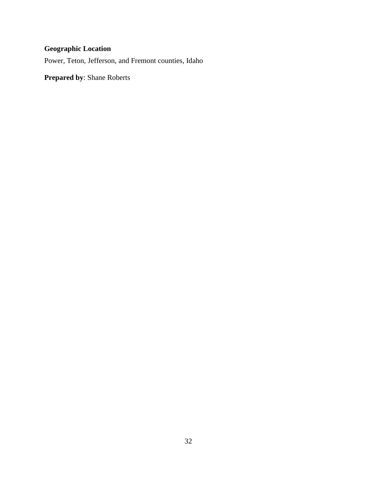## <span id="page-36-0"></span>**Geographic Location**

Power, Teton, Jefferson, and Fremont counties, Idaho

**Prepared by**: Shane Roberts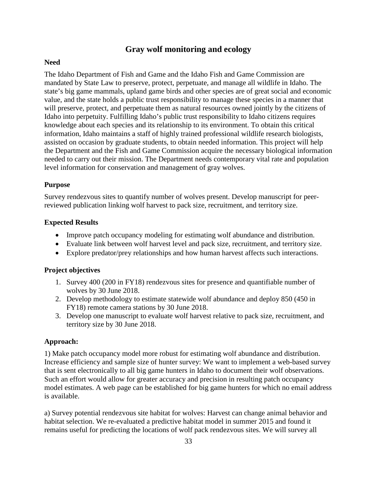## **Gray wolf monitoring and ecology**

## <span id="page-37-1"></span><span id="page-37-0"></span>**Need**

The Idaho Department of Fish and Game and the Idaho Fish and Game Commission are mandated by State Law to preserve, protect, perpetuate, and manage all wildlife in Idaho. The state's big game mammals, upland game birds and other species are of great social and economic value, and the state holds a public trust responsibility to manage these species in a manner that will preserve, protect, and perpetuate them as natural resources owned jointly by the citizens of Idaho into perpetuity. Fulfilling Idaho's public trust responsibility to Idaho citizens requires knowledge about each species and its relationship to its environment. To obtain this critical information, Idaho maintains a staff of highly trained professional wildlife research biologists, assisted on occasion by graduate students, to obtain needed information. This project will help the Department and the Fish and Game Commission acquire the necessary biological information needed to carry out their mission. The Department needs contemporary vital rate and population level information for conservation and management of gray wolves.

## <span id="page-37-2"></span>**Purpose**

Survey rendezvous sites to quantify number of wolves present. Develop manuscript for peerreviewed publication linking wolf harvest to pack size, recruitment, and territory size.

## <span id="page-37-3"></span>**Expected Results**

- Improve patch occupancy modeling for estimating wolf abundance and distribution.
- Evaluate link between wolf harvest level and pack size, recruitment, and territory size.
- Explore predator/prey relationships and how human harvest affects such interactions.

## <span id="page-37-4"></span>**Project objectives**

- 1. Survey 400 (200 in FY18) rendezvous sites for presence and quantifiable number of wolves by 30 June 2018.
- 2. Develop methodology to estimate statewide wolf abundance and deploy 850 (450 in FY18) remote camera stations by 30 June 2018.
- 3. Develop one manuscript to evaluate wolf harvest relative to pack size, recruitment, and territory size by 30 June 2018.

## <span id="page-37-5"></span>**Approach:**

1) Make patch occupancy model more robust for estimating wolf abundance and distribution. Increase efficiency and sample size of hunter survey: We want to implement a web-based survey that is sent electronically to all big game hunters in Idaho to document their wolf observations. Such an effort would allow for greater accuracy and precision in resulting patch occupancy model estimates. A web page can be established for big game hunters for which no email address is available.

a) Survey potential rendezvous site habitat for wolves: Harvest can change animal behavior and habitat selection. We re-evaluated a predictive habitat model in summer 2015 and found it remains useful for predicting the locations of wolf pack rendezvous sites. We will survey all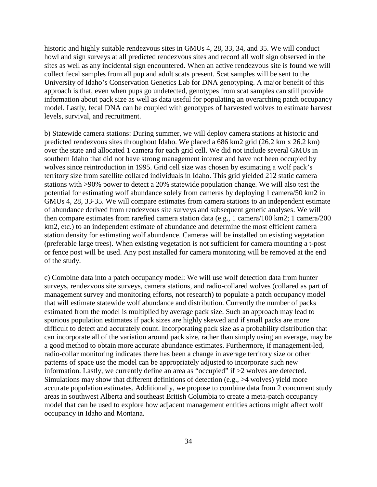historic and highly suitable rendezvous sites in GMUs 4, 28, 33, 34, and 35. We will conduct howl and sign surveys at all predicted rendezvous sites and record all wolf sign observed in the sites as well as any incidental sign encountered. When an active rendezvous site is found we will collect fecal samples from all pup and adult scats present. Scat samples will be sent to the University of Idaho's Conservation Genetics Lab for DNA genotyping. A major benefit of this approach is that, even when pups go undetected, genotypes from scat samples can still provide information about pack size as well as data useful for populating an overarching patch occupancy model. Lastly, fecal DNA can be coupled with genotypes of harvested wolves to estimate harvest levels, survival, and recruitment.

b) Statewide camera stations: During summer, we will deploy camera stations at historic and predicted rendezvous sites throughout Idaho. We placed a 686 km2 grid (26.2 km x 26.2 km) over the state and allocated 1 camera for each grid cell. We did not include several GMUs in southern Idaho that did not have strong management interest and have not been occupied by wolves since reintroduction in 1995. Grid cell size was chosen by estimating a wolf pack's territory size from satellite collared individuals in Idaho. This grid yielded 212 static camera stations with >90% power to detect a 20% statewide population change. We will also test the potential for estimating wolf abundance solely from cameras by deploying 1 camera/50 km2 in GMUs 4, 28, 33-35. We will compare estimates from camera stations to an independent estimate of abundance derived from rendezvous site surveys and subsequent genetic analyses. We will then compare estimates from rarefied camera station data (e.g., 1 camera/100 km2; 1 camera/200 km2, etc.) to an independent estimate of abundance and determine the most efficient camera station density for estimating wolf abundance. Cameras will be installed on existing vegetation (preferable large trees). When existing vegetation is not sufficient for camera mounting a t-post or fence post will be used. Any post installed for camera monitoring will be removed at the end of the study.

c) Combine data into a patch occupancy model: We will use wolf detection data from hunter surveys, rendezvous site surveys, camera stations, and radio-collared wolves (collared as part of management survey and monitoring efforts, not research) to populate a patch occupancy model that will estimate statewide wolf abundance and distribution. Currently the number of packs estimated from the model is multiplied by average pack size. Such an approach may lead to spurious population estimates if pack sizes are highly skewed and if small packs are more difficult to detect and accurately count. Incorporating pack size as a probability distribution that can incorporate all of the variation around pack size, rather than simply using an average, may be a good method to obtain more accurate abundance estimates. Furthermore, if management-led, radio-collar monitoring indicates there has been a change in average territory size or other patterns of space use the model can be appropriately adjusted to incorporate such new information. Lastly, we currently define an area as "occupied" if >2 wolves are detected. Simulations may show that different definitions of detection (e.g., >4 wolves) yield more accurate population estimates. Additionally, we propose to combine data from 2 concurrent study areas in southwest Alberta and southeast British Columbia to create a meta-patch occupancy model that can be used to explore how adjacent management entities actions might affect wolf occupancy in Idaho and Montana.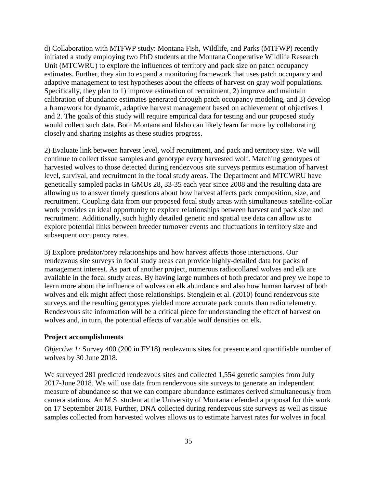d) Collaboration with MTFWP study: Montana Fish, Wildlife, and Parks (MTFWP) recently initiated a study employing two PhD students at the Montana Cooperative Wildlife Research Unit (MTCWRU) to explore the influences of territory and pack size on patch occupancy estimates. Further, they aim to expand a monitoring framework that uses patch occupancy and adaptive management to test hypotheses about the effects of harvest on gray wolf populations. Specifically, they plan to 1) improve estimation of recruitment, 2) improve and maintain calibration of abundance estimates generated through patch occupancy modeling, and 3) develop a framework for dynamic, adaptive harvest management based on achievement of objectives 1 and 2. The goals of this study will require empirical data for testing and our proposed study would collect such data. Both Montana and Idaho can likely learn far more by collaborating closely and sharing insights as these studies progress.

2) Evaluate link between harvest level, wolf recruitment, and pack and territory size. We will continue to collect tissue samples and genotype every harvested wolf. Matching genotypes of harvested wolves to those detected during rendezvous site surveys permits estimation of harvest level, survival, and recruitment in the focal study areas. The Department and MTCWRU have genetically sampled packs in GMUs 28, 33-35 each year since 2008 and the resulting data are allowing us to answer timely questions about how harvest affects pack composition, size, and recruitment. Coupling data from our proposed focal study areas with simultaneous satellite-collar work provides an ideal opportunity to explore relationships between harvest and pack size and recruitment. Additionally, such highly detailed genetic and spatial use data can allow us to explore potential links between breeder turnover events and fluctuations in territory size and subsequent occupancy rates.

3) Explore predator/prey relationships and how harvest affects those interactions. Our rendezvous site surveys in focal study areas can provide highly-detailed data for packs of management interest. As part of another project, numerous radiocollared wolves and elk are available in the focal study areas. By having large numbers of both predator and prey we hope to learn more about the influence of wolves on elk abundance and also how human harvest of both wolves and elk might affect those relationships. Stenglein et al. (2010) found rendezvous site surveys and the resulting genotypes yielded more accurate pack counts than radio telemetry. Rendezvous site information will be a critical piece for understanding the effect of harvest on wolves and, in turn, the potential effects of variable wolf densities on elk.

#### <span id="page-39-0"></span>**Project accomplishments**

*Objective 1:* Survey 400 (200 in FY18) rendezvous sites for presence and quantifiable number of wolves by 30 June 2018.

We surveyed 281 predicted rendezvous sites and collected 1,554 genetic samples from July 2017-June 2018. We will use data from rendezvous site surveys to generate an independent measure of abundance so that we can compare abundance estimates derived simultaneously from camera stations. An M.S. student at the University of Montana defended a proposal for this work on 17 September 2018. Further, DNA collected during rendezvous site surveys as well as tissue samples collected from harvested wolves allows us to estimate harvest rates for wolves in focal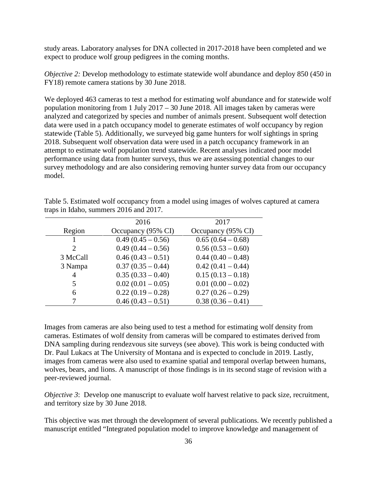study areas. Laboratory analyses for DNA collected in 2017-2018 have been completed and we expect to produce wolf group pedigrees in the coming months.

*Objective 2:* Develop methodology to estimate statewide wolf abundance and deploy 850 (450 in FY18) remote camera stations by 30 June 2018.

We deployed 463 cameras to test a method for estimating wolf abundance and for statewide wolf population monitoring from 1 July 2017 – 30 June 2018. All images taken by cameras were analyzed and categorized by species and number of animals present. Subsequent wolf detection data were used in a patch occupancy model to generate estimates of wolf occupancy by region statewide (Table 5). Additionally, we surveyed big game hunters for wolf sightings in spring 2018. Subsequent wolf observation data were used in a patch occupancy framework in an attempt to estimate wolf population trend statewide. Recent analyses indicated poor model performance using data from hunter surveys, thus we are assessing potential changes to our survey methodology and are also considering removing hunter survey data from our occupancy model.

|                       | 2016                | 2017                |
|-----------------------|---------------------|---------------------|
| Region                | Occupancy (95% CI)  | Occupancy (95% CI)  |
|                       | $0.49(0.45-0.56)$   | $0.65(0.64 - 0.68)$ |
| $\mathcal{D}_{\cdot}$ | $0.49(0.44-0.56)$   | $0.56(0.53 - 0.60)$ |
| 3 McCall              | $0.46(0.43-0.51)$   | $0.44(0.40-0.48)$   |
| 3 Nampa               | $0.37(0.35-0.44)$   | $0.42(0.41-0.44)$   |
| 4                     | $0.35(0.33 - 0.40)$ | $0.15(0.13-0.18)$   |
|                       | $0.02(0.01-0.05)$   | $0.01(0.00 - 0.02)$ |
| 6                     | $0.22(0.19-0.28)$   | $0.27(0.26-0.29)$   |
|                       | $0.46(0.43-0.51)$   | $0.38(0.36-0.41)$   |

<span id="page-40-0"></span>Table 5. Estimated wolf occupancy from a model using images of wolves captured at camera traps in Idaho, summers 2016 and 2017.

Images from cameras are also being used to test a method for estimating wolf density from cameras. Estimates of wolf density from cameras will be compared to estimates derived from DNA sampling during rendezvous site surveys (see above). This work is being conducted with Dr. Paul Lukacs at The University of Montana and is expected to conclude in 2019. Lastly, images from cameras were also used to examine spatial and temporal overlap between humans, wolves, bears, and lions. A manuscript of those findings is in its second stage of revision with a peer-reviewed journal.

*Objective 3*: Develop one manuscript to evaluate wolf harvest relative to pack size, recruitment, and territory size by 30 June 2018.

This objective was met through the development of several publications. We recently published a manuscript entitled "Integrated population model to improve knowledge and management of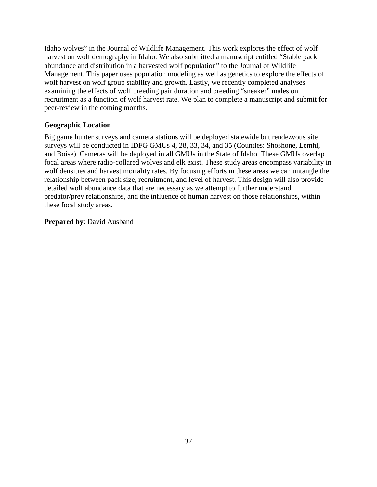Idaho wolves" in the Journal of Wildlife Management. This work explores the effect of wolf harvest on wolf demography in Idaho. We also submitted a manuscript entitled "Stable pack abundance and distribution in a harvested wolf population" to the Journal of Wildlife Management. This paper uses population modeling as well as genetics to explore the effects of wolf harvest on wolf group stability and growth. Lastly, we recently completed analyses examining the effects of wolf breeding pair duration and breeding "sneaker" males on recruitment as a function of wolf harvest rate. We plan to complete a manuscript and submit for peer-review in the coming months.

## <span id="page-41-0"></span>**Geographic Location**

Big game hunter surveys and camera stations will be deployed statewide but rendezvous site surveys will be conducted in IDFG GMUs 4, 28, 33, 34, and 35 (Counties: Shoshone, Lemhi, and Boise). Cameras will be deployed in all GMUs in the State of Idaho. These GMUs overlap focal areas where radio-collared wolves and elk exist. These study areas encompass variability in wolf densities and harvest mortality rates. By focusing efforts in these areas we can untangle the relationship between pack size, recruitment, and level of harvest. This design will also provide detailed wolf abundance data that are necessary as we attempt to further understand predator/prey relationships, and the influence of human harvest on those relationships, within these focal study areas.

## **Prepared by**: David Ausband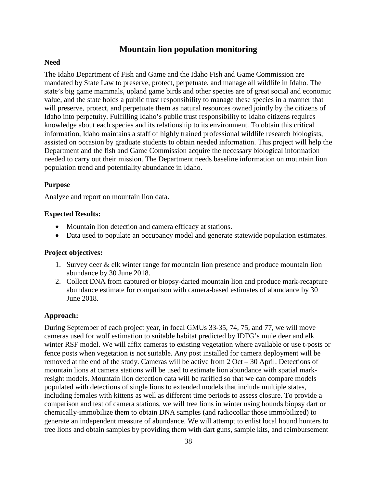## **Mountain lion population monitoring**

### <span id="page-42-1"></span><span id="page-42-0"></span>**Need**

The Idaho Department of Fish and Game and the Idaho Fish and Game Commission are mandated by State Law to preserve, protect, perpetuate, and manage all wildlife in Idaho. The state's big game mammals, upland game birds and other species are of great social and economic value, and the state holds a public trust responsibility to manage these species in a manner that will preserve, protect, and perpetuate them as natural resources owned jointly by the citizens of Idaho into perpetuity. Fulfilling Idaho's public trust responsibility to Idaho citizens requires knowledge about each species and its relationship to its environment. To obtain this critical information, Idaho maintains a staff of highly trained professional wildlife research biologists, assisted on occasion by graduate students to obtain needed information. This project will help the Department and the fish and Game Commission acquire the necessary biological information needed to carry out their mission. The Department needs baseline information on mountain lion population trend and potentiality abundance in Idaho.

#### <span id="page-42-2"></span>**Purpose**

Analyze and report on mountain lion data.

#### <span id="page-42-3"></span>**Expected Results:**

- Mountain lion detection and camera efficacy at stations.
- Data used to populate an occupancy model and generate statewide population estimates.

#### <span id="page-42-4"></span>**Project objectives:**

- 1. Survey deer & elk winter range for mountain lion presence and produce mountain lion abundance by 30 June 2018.
- 2. Collect DNA from captured or biopsy-darted mountain lion and produce mark-recapture abundance estimate for comparison with camera-based estimates of abundance by 30 June 2018.

## <span id="page-42-5"></span>**Approach:**

During September of each project year, in focal GMUs 33-35, 74, 75, and 77, we will move cameras used for wolf estimation to suitable habitat predicted by IDFG's mule deer and elk winter RSF model. We will affix cameras to existing vegetation where available or use t-posts or fence posts when vegetation is not suitable. Any post installed for camera deployment will be removed at the end of the study. Cameras will be active from 2 Oct – 30 April. Detections of mountain lions at camera stations will be used to estimate lion abundance with spatial markresight models. Mountain lion detection data will be rarified so that we can compare models populated with detections of single lions to extended models that include multiple states, including females with kittens as well as different time periods to assess closure. To provide a comparison and test of camera stations, we will tree lions in winter using hounds biopsy dart or chemically-immobilize them to obtain DNA samples (and radiocollar those immobilized) to generate an independent measure of abundance. We will attempt to enlist local hound hunters to tree lions and obtain samples by providing them with dart guns, sample kits, and reimbursement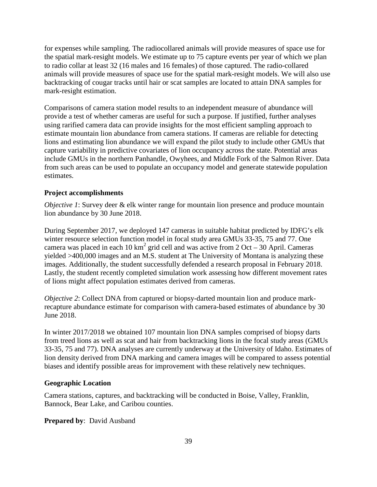for expenses while sampling. The radiocollared animals will provide measures of space use for the spatial mark-resight models. We estimate up to 75 capture events per year of which we plan to radio collar at least 32 (16 males and 16 females) of those captured. The radio-collared animals will provide measures of space use for the spatial mark-resight models. We will also use backtracking of cougar tracks until hair or scat samples are located to attain DNA samples for mark-resight estimation.

Comparisons of camera station model results to an independent measure of abundance will provide a test of whether cameras are useful for such a purpose. If justified, further analyses using rarified camera data can provide insights for the most efficient sampling approach to estimate mountain lion abundance from camera stations. If cameras are reliable for detecting lions and estimating lion abundance we will expand the pilot study to include other GMUs that capture variability in predictive covariates of lion occupancy across the state. Potential areas include GMUs in the northern Panhandle, Owyhees, and Middle Fork of the Salmon River. Data from such areas can be used to populate an occupancy model and generate statewide population estimates.

#### <span id="page-43-0"></span>**Project accomplishments**

*Objective 1*: Survey deer & elk winter range for mountain lion presence and produce mountain lion abundance by 30 June 2018.

During September 2017, we deployed 147 cameras in suitable habitat predicted by IDFG's elk winter resource selection function model in focal study area GMUs 33-35, 75 and 77. One camera was placed in each 10 km<sup>2</sup> grid cell and was active from 2 Oct – 30 April. Cameras yielded >400,000 images and an M.S. student at The University of Montana is analyzing these images. Additionally, the student successfully defended a research proposal in February 2018. Lastly, the student recently completed simulation work assessing how different movement rates of lions might affect population estimates derived from cameras.

*Objective 2*: Collect DNA from captured or biopsy-darted mountain lion and produce markrecapture abundance estimate for comparison with camera-based estimates of abundance by 30 June 2018.

In winter 2017/2018 we obtained 107 mountain lion DNA samples comprised of biopsy darts from treed lions as well as scat and hair from backtracking lions in the focal study areas (GMUs 33-35, 75 and 77). DNA analyses are currently underway at the University of Idaho. Estimates of lion density derived from DNA marking and camera images will be compared to assess potential biases and identify possible areas for improvement with these relatively new techniques.

#### <span id="page-43-1"></span>**Geographic Location**

Camera stations, captures, and backtracking will be conducted in Boise, Valley, Franklin, Bannock, Bear Lake, and Caribou counties.

**Prepared by**: David Ausband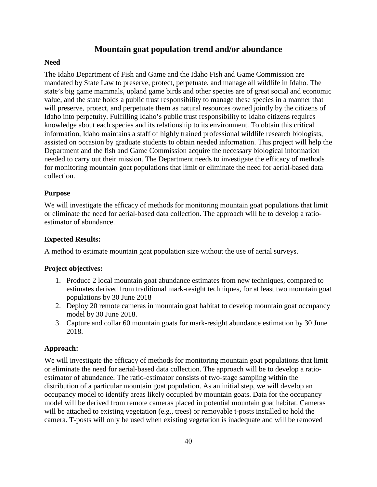## **Mountain goat population trend and/or abundance**

## <span id="page-44-1"></span><span id="page-44-0"></span>**Need**

The Idaho Department of Fish and Game and the Idaho Fish and Game Commission are mandated by State Law to preserve, protect, perpetuate, and manage all wildlife in Idaho. The state's big game mammals, upland game birds and other species are of great social and economic value, and the state holds a public trust responsibility to manage these species in a manner that will preserve, protect, and perpetuate them as natural resources owned jointly by the citizens of Idaho into perpetuity. Fulfilling Idaho's public trust responsibility to Idaho citizens requires knowledge about each species and its relationship to its environment. To obtain this critical information, Idaho maintains a staff of highly trained professional wildlife research biologists, assisted on occasion by graduate students to obtain needed information. This project will help the Department and the fish and Game Commission acquire the necessary biological information needed to carry out their mission. The Department needs to investigate the efficacy of methods for monitoring mountain goat populations that limit or eliminate the need for aerial-based data collection.

## <span id="page-44-2"></span>**Purpose**

We will investigate the efficacy of methods for monitoring mountain goat populations that limit or eliminate the need for aerial-based data collection. The approach will be to develop a ratioestimator of abundance.

## <span id="page-44-3"></span>**Expected Results:**

A method to estimate mountain goat population size without the use of aerial surveys.

## <span id="page-44-4"></span>**Project objectives:**

- 1. Produce 2 local mountain goat abundance estimates from new techniques, compared to estimates derived from traditional mark-resight techniques, for at least two mountain goat populations by 30 June 2018
- 2. Deploy 20 remote cameras in mountain goat habitat to develop mountain goat occupancy model by 30 June 2018.
- 3. Capture and collar 60 mountain goats for mark-resight abundance estimation by 30 June 2018.

## <span id="page-44-5"></span>**Approach:**

We will investigate the efficacy of methods for monitoring mountain goat populations that limit or eliminate the need for aerial-based data collection. The approach will be to develop a ratioestimator of abundance. The ratio-estimator consists of two-stage sampling within the distribution of a particular mountain goat population. As an initial step, we will develop an occupancy model to identify areas likely occupied by mountain goats. Data for the occupancy model will be derived from remote cameras placed in potential mountain goat habitat. Cameras will be attached to existing vegetation (e.g., trees) or removable t-posts installed to hold the camera. T-posts will only be used when existing vegetation is inadequate and will be removed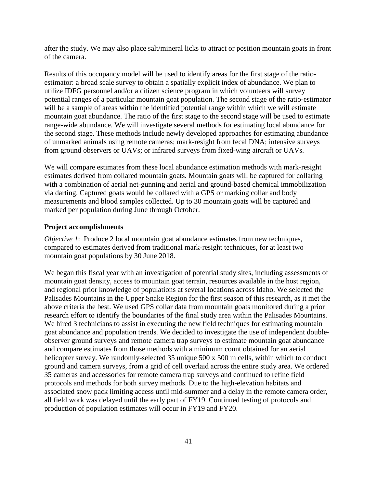after the study. We may also place salt/mineral licks to attract or position mountain goats in front of the camera.

Results of this occupancy model will be used to identify areas for the first stage of the ratioestimator: a broad scale survey to obtain a spatially explicit index of abundance. We plan to utilize IDFG personnel and/or a citizen science program in which volunteers will survey potential ranges of a particular mountain goat population. The second stage of the ratio-estimator will be a sample of areas within the identified potential range within which we will estimate mountain goat abundance. The ratio of the first stage to the second stage will be used to estimate range-wide abundance. We will investigate several methods for estimating local abundance for the second stage. These methods include newly developed approaches for estimating abundance of unmarked animals using remote cameras; mark-resight from fecal DNA; intensive surveys from ground observers or UAVs; or infrared surveys from fixed-wing aircraft or UAVs.

We will compare estimates from these local abundance estimation methods with mark-resight estimates derived from collared mountain goats. Mountain goats will be captured for collaring with a combination of aerial net-gunning and aerial and ground-based chemical immobilization via darting. Captured goats would be collared with a GPS or marking collar and body measurements and blood samples collected. Up to 30 mountain goats will be captured and marked per population during June through October.

#### <span id="page-45-0"></span>**Project accomplishments**

*Objective 1*: Produce 2 local mountain goat abundance estimates from new techniques, compared to estimates derived from traditional mark-resight techniques, for at least two mountain goat populations by 30 June 2018.

We began this fiscal year with an investigation of potential study sites, including assessments of mountain goat density, access to mountain goat terrain, resources available in the host region, and regional prior knowledge of populations at several locations across Idaho. We selected the Palisades Mountains in the Upper Snake Region for the first season of this research, as it met the above criteria the best. We used GPS collar data from mountain goats monitored during a prior research effort to identify the boundaries of the final study area within the Palisades Mountains. We hired 3 technicians to assist in executing the new field techniques for estimating mountain goat abundance and population trends. We decided to investigate the use of independent doubleobserver ground surveys and remote camera trap surveys to estimate mountain goat abundance and compare estimates from those methods with a minimum count obtained for an aerial helicopter survey. We randomly-selected 35 unique 500 x 500 m cells, within which to conduct ground and camera surveys, from a grid of cell overlaid across the entire study area. We ordered 35 cameras and accessories for remote camera trap surveys and continued to refine field protocols and methods for both survey methods. Due to the high-elevation habitats and associated snow pack limiting access until mid-summer and a delay in the remote camera order, all field work was delayed until the early part of FY19. Continued testing of protocols and production of population estimates will occur in FY19 and FY20.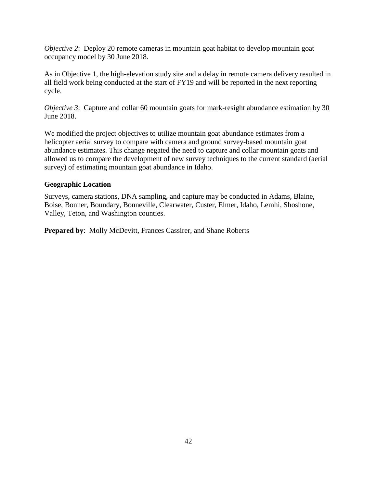*Objective 2*: Deploy 20 remote cameras in mountain goat habitat to develop mountain goat occupancy model by 30 June 2018.

As in Objective 1, the high-elevation study site and a delay in remote camera delivery resulted in all field work being conducted at the start of FY19 and will be reported in the next reporting cycle.

*Objective 3*: Capture and collar 60 mountain goats for mark-resight abundance estimation by 30 June 2018.

We modified the project objectives to utilize mountain goat abundance estimates from a helicopter aerial survey to compare with camera and ground survey-based mountain goat abundance estimates. This change negated the need to capture and collar mountain goats and allowed us to compare the development of new survey techniques to the current standard (aerial survey) of estimating mountain goat abundance in Idaho.

## <span id="page-46-0"></span>**Geographic Location**

Surveys, camera stations, DNA sampling, and capture may be conducted in Adams, Blaine, Boise, Bonner, Boundary, Bonneville, Clearwater, Custer, Elmer, Idaho, Lemhi, Shoshone, Valley, Teton, and Washington counties.

**Prepared by**: Molly McDevitt, Frances Cassirer, and Shane Roberts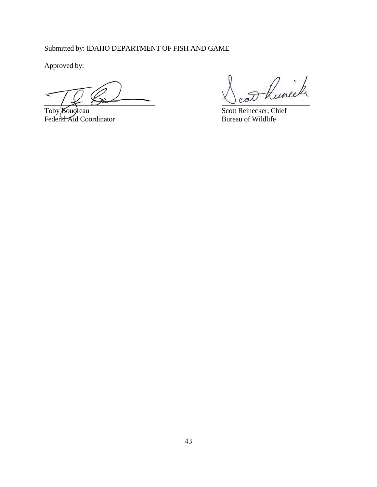Submitted by: IDAHO DEPARTMENT OF FISH AND GAME

Approved by:

Federal Aid Coordinator

Runeck

Toby Boudreau Scott Reinecker, Chief<br>
Federal Aid Coordinator Scott Reinecker, Chief<br>
Bureau of Wildlife